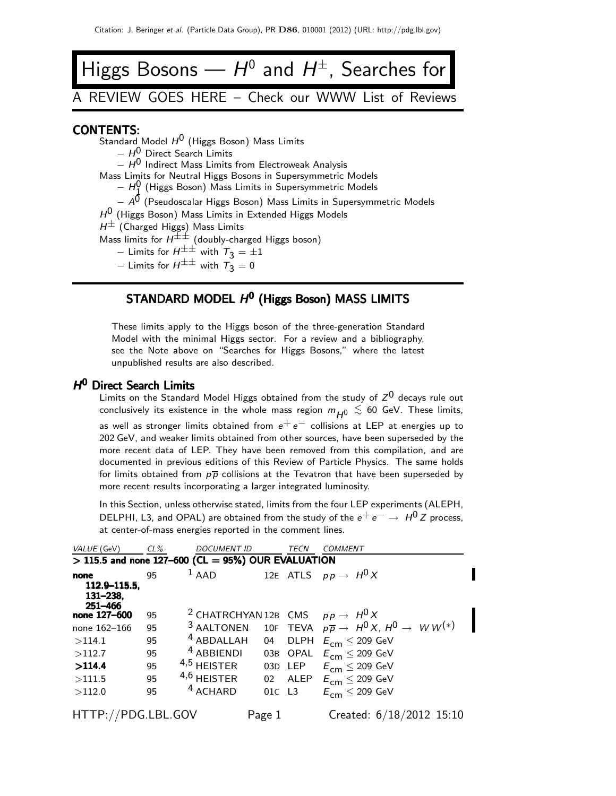# Higgs Bosons —  $H^0$  and  $H^\pm$ , Searches for

## A REVIEW GOES HERE – Check our WWW List of Reviews

#### CONTENTS:

- Standard Model  $H^0$  (Higgs Boson) Mass Limits
	- $H^{0}$  Direct Search Limits

 $- H^{0}$  Indirect Mass Limits from Electroweak Analysis

- Mass Limits for Neutral Higgs Bosons in Supersymmetric Models
	- $H_1^0$  (Higgs Boson) Mass Limits in Supersymmetric Models

− 11 (thiggs Boson) Mass Emmts in Supersymmetric Models<br>− A<sup>0</sup> (Pseudoscalar Higgs Boson) Mass Limits in Supersymmetric Models

 $H^0$  (Higgs Boson) Mass Limits in Extended Higgs Models

 $H^{\pm}$  (Charged Higgs) Mass Limits

Mass limits for  $H^{\pm\pm}$  (doubly-charged Higgs boson)

- − Limits for  $H^{\pm\pm}$  with  $T_3 = \pm 1$
- Limits for  $H^{\pm\pm}$  with  $\tilde{T}_3 = 0$

#### STANDARD MODEL  $H^0$  (Higgs Boson) MASS LIMITS

These limits apply to the Higgs boson of the three-generation Standard Model with the minimal Higgs sector. For a review and a bibliography, see the Note above on "Searches for Higgs Bosons," where the latest unpublished results are also described.

#### H<sup>0</sup> Direct Search Limits

Limits on the Standard Model Higgs obtained from the study of  $Z^0$  decays rule out conclusively its existence in the whole mass region  $m_{\overline{H^0}} \lesssim 60$  GeV. These limits, as well as stronger limits obtained from  $e^+e^-$  collisions at LEP at energies up to 202 GeV, and weaker limits obtained from other sources, have been superseded by the more recent data of LEP. They have been removed from this compilation, and are documented in previous editions of this Review of Particle Physics. The same holds for limits obtained from  $p\bar{p}$  collisions at the Tevatron that have been superseded by more recent results incorporating a larger integrated luminosity.

In this Section, unless otherwise stated, limits from the four LEP experiments (ALEPH, DELPHI, L3, and OPAL) are obtained from the study of the  $e^+e^- \rightarrow H^0 Z$  process, at center-of-mass energies reported in the comment lines.

| VALUE (GeV)                                 | CL % | <b>DOCUMENT ID</b>                                     |        | TECN          | <b>COMMENT</b>                                                                                 |
|---------------------------------------------|------|--------------------------------------------------------|--------|---------------|------------------------------------------------------------------------------------------------|
|                                             |      | $>$ 115.5 and none 127-600 (CL = 95%) OUR EVALUATION   |        |               |                                                                                                |
| none<br>112.9–115.5,<br>131–238.<br>251-466 | 95   | $1$ AAD                                                |        |               | 12E ATLS $p p \rightarrow H^0 X$                                                               |
| none 127-600                                | 95   | <sup>2</sup> CHATRCHYAN 12B CMS $pp \rightarrow H^0 X$ |        |               |                                                                                                |
| none 162-166                                | 95   |                                                        |        |               | <sup>3</sup> AALTONEN 10F TEVA $p\overline{p} \rightarrow H^0 X$ , $H^0 \rightarrow W W^{(*)}$ |
| >114.1                                      | 95   | <sup>4</sup> ABDALLAH                                  | 04     |               | DLPH $E_{\text{cm}} \leq 209 \text{ GeV}$                                                      |
| >112.7                                      | 95   | <sup>4</sup> ABBIENDI                                  |        | 03B OPAL      | $E_{\rm cm} \leq 209$ GeV                                                                      |
| >114.4                                      | 95   | $4,5$ HEISTER                                          |        |               | 03D LEP $E_{cm} \leq 209$ GeV                                                                  |
| >111.5                                      | 95   | $4,6$ HEISTER                                          |        |               | 02 ALEP $E_{cm} \leq 209$ GeV                                                                  |
| >112.0                                      | 95   | $4$ ACHARD                                             | 01C    | $\mathsf{L}3$ | $E_{cm} \leq 209$ GeV                                                                          |
| HTTP://PDG.LBL.GOV                          |      |                                                        | Page 1 |               | Created: $6/18/2012$ 15:10                                                                     |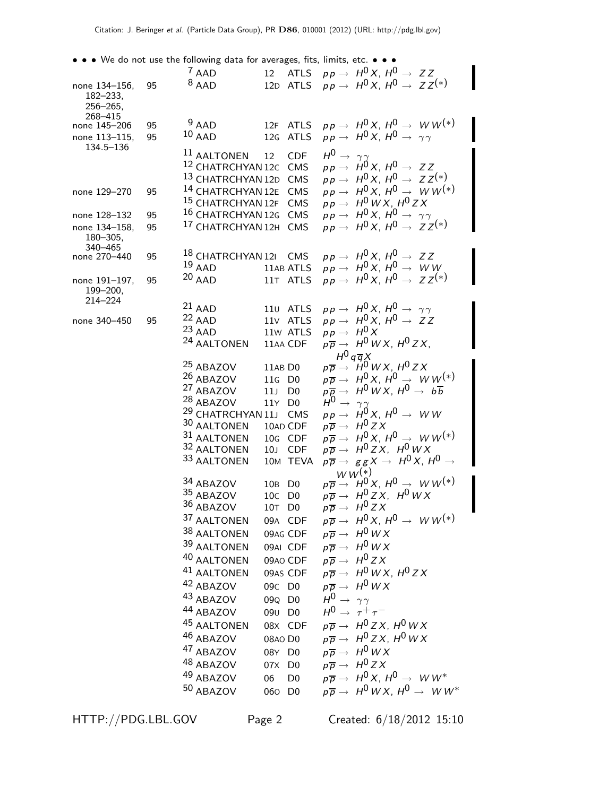• • • We do not use the following data for averages, fits, limits, etc. • • •

|                         |    | $7$ AAD                          |                                |                |                                 | 12 ATLS $pp \rightarrow H^0 X$ , $H^0 \rightarrow ZZ$                                                                         |
|-------------------------|----|----------------------------------|--------------------------------|----------------|---------------------------------|-------------------------------------------------------------------------------------------------------------------------------|
| none 134-156,           | 95 | $8$ AAD                          | 12D ATLS                       |                |                                 | $pp \rightarrow H^0 X$ , $H^0 \rightarrow ZZ^{(*)}$                                                                           |
| $182 - 233,$            |    |                                  |                                |                |                                 |                                                                                                                               |
| $256 - 265$ .           |    |                                  |                                |                |                                 |                                                                                                                               |
| 268-415<br>none 145-206 | 95 | $9$ AAD                          | 12F ATLS                       |                |                                 | $pp \rightarrow H^0 X$ , $H^0 \rightarrow W W^{(*)}$                                                                          |
| none 113-115,           | 95 | $10$ AAD                         | 12G ATLS                       |                |                                 | $pp \rightarrow H^0 X$ , $H^0 \rightarrow \gamma \gamma$                                                                      |
| 134.5-136               |    |                                  |                                |                |                                 |                                                                                                                               |
|                         |    | $^{11}$ AALTONEN                 | 12                             | <b>CDF</b>     | $H^0 \rightarrow \gamma \gamma$ |                                                                                                                               |
|                         |    | 12 CHATRCHYAN 12C CMS            |                                |                |                                 | $pp \rightarrow H^0 X, H^0 \rightarrow ZZ$                                                                                    |
|                         |    | 13 CHATRCHYAN 12D CMS            |                                |                |                                 | $pp \rightarrow H^0 X$ , $H^0 \rightarrow ZZ^{(*)}$                                                                           |
| none 129-270            | 95 | 14 CHATRCHYAN 12E CMS            |                                |                |                                 | $pp \rightarrow H^0 X$ , $H^0 \rightarrow WW^{(*)}$                                                                           |
|                         |    | 15 CHATRCHYAN 12F CMS            |                                |                |                                 | $pp \rightarrow H^0WX$ , $H^0ZX$                                                                                              |
| none 128-132            | 95 | 16 CHATRCHYAN 12G CMS            |                                |                |                                 | $pp \rightarrow H^0 X, H^0 \rightarrow \gamma \gamma$                                                                         |
| none 134-158.           | 95 | 17 CHATRCHYAN 12H CMS            |                                |                |                                 | $pp \rightarrow H^0 X$ , $H^0 \rightarrow Z Z^{(*)}$                                                                          |
| $180 - 305,$<br>340-465 |    |                                  |                                |                |                                 |                                                                                                                               |
| none 270-440            | 95 | 18 CHATRCHYAN 121 CMS            |                                |                |                                 | $pp \rightarrow H^0 X, H^0 \rightarrow ZZ$                                                                                    |
|                         |    | $19$ AAD                         | 11AB ATLS                      |                |                                 | $pp \rightarrow H^0 X$ , $H^0 \rightarrow WW$                                                                                 |
| none 191-197,           | 95 | $20$ AAD                         | 11T ATLS                       |                |                                 | $pp \rightarrow H^0 X$ , $H^0 \rightarrow ZZ^{(*)}$                                                                           |
| 199-200,                |    |                                  |                                |                |                                 |                                                                                                                               |
| $214 - 224$             |    | $21$ AAD                         | 110 ATLS                       |                |                                 | $pp \rightarrow H^0 X, H^0 \rightarrow \gamma \gamma$                                                                         |
| none 340-450            | 95 | $22$ AAD                         | 11 <sub>V</sub> ATLS           |                |                                 | $pp \rightarrow H^0 X$ , $H^0 \rightarrow ZZ$                                                                                 |
|                         |    | $23$ AAD                         | 11w ATLS                       |                | $pp \rightarrow H^0 X$          |                                                                                                                               |
|                         |    | <sup>24</sup> AALTONEN           | 11AA CDF                       |                |                                 | $p\overline{p} \rightarrow H^0WX, H^0ZX,$                                                                                     |
|                         |    |                                  |                                |                | $H^0 q \overline{q} X$          |                                                                                                                               |
|                         |    | <sup>25</sup> ABAZOV             | 11AB DO                        |                |                                 | $p\overline{p} \rightarrow 'H^0\,W\,X,\,H^0\,Z\,X$                                                                            |
|                         |    | 26 ABAZOV                        | 11G D0                         |                |                                 | $p\overline{p} \rightarrow H^0(X, H^0 \rightarrow WW^{(*)})$                                                                  |
|                         |    | <sup>27</sup> ABAZOV             | 11J                            | D <sub>0</sub> |                                 | $p\overline{p} \rightarrow H^0WX, H^0 \rightarrow b\overline{b}$                                                              |
|                         |    | <sup>28</sup> ABAZOV             | 11Y D0                         |                | $H^0 \rightarrow \gamma \gamma$ |                                                                                                                               |
|                         |    | <sup>29</sup> CHATRCHYAN 11J CMS |                                |                |                                 | $pp \rightarrow H^0 X$ , $H^0 \rightarrow WW$                                                                                 |
|                         |    | 30 AALTONEN                      | 10AD CDF                       |                |                                 | $p\overline{p} \rightarrow H^0 Z X$                                                                                           |
|                         |    | 31 AALTONEN                      | 10G CDF                        |                |                                 | $p\overline{p} \rightarrow H^0(X, H^0 \rightarrow WW^{(*)})$                                                                  |
|                         |    | 32 AALTONEN<br>33 AALTONEN       | 10J CDF<br>10M TEVA            |                |                                 | $p\overline{p} \rightarrow H^0 ZX$ , $H^0WX$<br>$p\overline{p} \rightarrow g\, g\, X \rightarrow H^0\, X$ , $H^0 \rightarrow$ |
|                         |    |                                  |                                |                |                                 | $WW^{(*)}$                                                                                                                    |
|                         |    | 34 ABAZOV                        | 10B DO                         |                |                                 | $p\overline{p} \rightarrow H^0(X, H^0 \rightarrow W W^{(*)})$                                                                 |
|                         |    | 35 ABAZOV                        | 10C D0                         |                |                                 | $p\overline{p} \rightarrow H^0ZX, H^0WX$                                                                                      |
|                         |    | 36 ABAZOV                        | 10T D0                         |                |                                 | $p\overline{p} \rightarrow H^0 Z X$                                                                                           |
|                         |    | 37 AALTONEN                      | 09A CDF                        |                |                                 | $p\overline{p} \rightarrow H^0 X$ , $H^0 \rightarrow W W^{(*)}$                                                               |
|                         |    | 38 AALTONEN                      | 09AG CDF                       |                |                                 | $p\overline{p} \rightarrow H^0WX$                                                                                             |
|                         |    | 39 AALTONEN                      | 09AI CDF                       |                |                                 | $p\overline{p} \rightarrow H^0WX$                                                                                             |
|                         |    | 40 AALTONEN                      | 09AO CDF                       |                |                                 | $p\overline{p} \rightarrow H^0 Z X$                                                                                           |
|                         |    | 41 AALTONEN                      | 09AS CDF                       |                |                                 | $p\overline{p} \rightarrow H^0WX$ , $H^0ZX$                                                                                   |
|                         |    | 42 ABAZOV                        | 09C D0                         |                |                                 | $p\overline{p} \rightarrow H^0WX$                                                                                             |
|                         |    | 43 ABAZOV                        | 09Q D0                         |                | $H^0 \rightarrow \gamma \gamma$ |                                                                                                                               |
|                         |    | 44 ABAZOV                        |                                |                |                                 | $H^0 \rightarrow \tau^+ \tau^-$                                                                                               |
|                         |    | 45 AALTONEN                      | 09 <sub>U</sub> D <sub>0</sub> |                |                                 | $p\overline{p} \rightarrow H^0ZX, H^0WX$                                                                                      |
|                         |    |                                  | 08X CDF                        |                |                                 |                                                                                                                               |
|                         |    | 46 ABAZOV                        | 08AO D0                        |                |                                 | $p\overline{p} \rightarrow H^0ZX, H^0WX$                                                                                      |
|                         |    | 47 ABAZOV                        | 08Y D0                         |                |                                 | $p\overline{p} \rightarrow H^0WX$                                                                                             |
|                         |    | 48 ABAZOV                        | 07X D0                         |                |                                 | $p\overline{p} \rightarrow H^0 Z X$                                                                                           |
|                         |    | 49 ABAZOV                        | 06                             | D <sub>0</sub> |                                 | $p\overline{p} \rightarrow H^0 X$ , $H^0 \rightarrow W W^*$                                                                   |
|                         |    | 50 ABAZOV                        | 060 D0                         |                |                                 | $p\overline{p} \rightarrow H^0WX, H^0 \rightarrow WW^*$                                                                       |
|                         |    |                                  |                                |                |                                 |                                                                                                                               |

HTTP://PDG.LBL.GOV Page 2 Created: 6/18/2012 15:10

I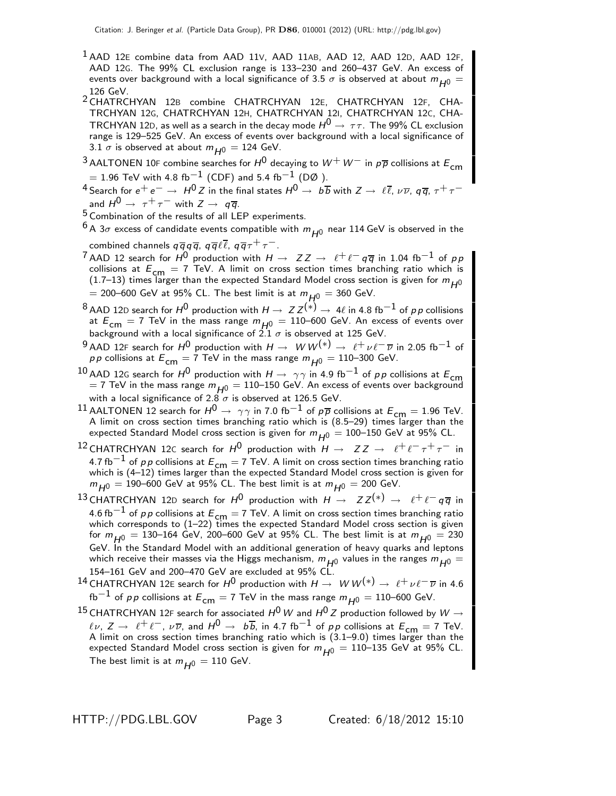- <sup>1</sup> AAD 12E combine data from AAD 11V, AAD 11AB, AAD 12, AAD 12D, AAD 12F, AAD 12G. The 99% CL exclusion range is 133–230 and 260–437 GeV. An excess of events over background with a local significance of 3.5  $\sigma$  is observed at about  $m_{H0} =$ 126 GeV.
- <sup>2</sup> CHATRCHYAN 12B combine CHATRCHYAN 12E, CHATRCHYAN 12F, CHA-TRCHYAN 12G, CHATRCHYAN 12H, CHATRCHYAN 12I, CHATRCHYAN 12C, CHA-TRCHYAN 12D, as well as a search in the decay mode  $H^0 \rightarrow \tau \tau$ . The 99% CL exclusion range is 129–525 GeV. An excess of events over background with a local significance of 3.1  $\sigma$  is observed at about  $m_{H0} = 124$  GeV.
- $^3$  AALTONEN 10F combine searches for  $H^0$  decaying to  $W^+$   $W^-$  in  $p\overline{p}$  collisions at  $E_{\mathsf{cm}}$  $= 1.96$  TeV with 4.8 fb<sup>-1</sup> (CDF) and 5.4 fb<sup>-1</sup> (DØ).
- 4 Search for  $e^+e^-\to H^0Z$  in the final states  $H^0\to b\overline{b}$  with  $Z\to \ell\overline{\ell},\,\nu\overline{\nu},\,q\overline{q},\,\tau^+\tau^$ and  $H^0 \rightarrow \tau^+ \tau^-$  with  $Z \rightarrow q \overline{q}$ .

5 Combination of the results of all LEP experiments.

 $6A$  3 $\sigma$  excess of candidate events compatible with  $m_{H0}$  near 114 GeV is observed in the combined channels  $q\overline{q}q\overline{q}$ ,  $q\overline{q}\ell\overline{\ell}$ ,  $q\overline{q}\tau^+\tau^-$ .

- <sup>7</sup> AAD 12 search for  $H^0$  production with  $H \to ZZ \to \ell^+ \ell^- q \overline{q}$  in 1.04 fb<sup>-1</sup> of pp collisions at  $E_{\text{cm}} = 7$  TeV. A limit on cross section times branching ratio which is (1.7–13) times larger than the expected Standard Model cross section is given for  $m_{H^0}$  $= 200-600$  GeV at 95% CL. The best limit is at  $m_{H0} = 360$  GeV.
- <sup>8</sup> AAD 12D search for  $H^0$  production with  $H \to ZZ^{(*)} \to 4\ell$  in 4.8 fb<sup>-1</sup> of pp collisions at  $E_{\text{cm}} = 7$  TeV in the mass range  $m_{H^0} = 110$ –600 GeV. An excess of events over<br>background with a local significance of 2.1  $\sigma$  is observed at 125 GeV.
- 9 AAD 12F search for  $H^0$  production with  $H \to W W^{(*)} \to \ell^+ \nu \ell^- \overline{\nu}$  in 2.05 fb<sup>-1</sup> of *pp* collisions at  $E_{cm} = 7$  TeV in the mass range  $m_{H0} = 110$ –300 GeV.
- 10 AAD 12G search for  $H^0$  production with  $H \rightarrow \gamma \gamma$  in 4.9 fb $^{-1}$  of pp collisions at  $E_{\text{cm}}$  $=$  7 TeV in the mass range  $m_{H^0} = 110$ –150 GeV. An excess of events over background with a local significance of  $2.8\sigma$  is observed at 126.5 GeV.
- <sup>11</sup> AALTONEN 12 search for  $H^0 \to \gamma \gamma$  in 7.0 fb<sup>-1</sup> of  $p\overline{p}$  collisions at  $E_{cm} = 1.96$  TeV. A limit on cross section times branching ratio which is (8.5–29) times larger than the expected Standard Model cross section is given for  $m_{H0} = 100-150$  GeV at 95% CL.
- <sup>12</sup> CHATRCHYAN 12C search for  $H^0$  production with  $H \to ZZ \to \ell^+ \ell^- \tau^+ \tau^-$  in 4.7 fb<sup>−1</sup> of pp collisions at  $E_{cm}$  = 7 TeV. A limit on cross section times branching ratio which is (4–12) times larger than the expected Standard Model cross section is given for  $m_{H0} = 190$ –600 GeV at 95% CL. The best limit is at  $m_{H0} = 200$  GeV.
- <sup>13</sup> CHATRCHYAN 12D search for  $H^0$  production with  $H \to ZZ^{(*)} \to \ell^+ \ell^- q \overline{q}$  in 4.6 fb $^{-1}$  of  $\rho$  p collisions at  $E_{\mathsf{cm}}=$  7 TeV. A limit on cross section times branching ratio<br>which corresponds to (1−22) times the expected Standard Model cross section is given for  $m_{H0} = 130$ –164 GeV, 200–600 GeV at 95% CL. The best limit is at  $m_{H0} = 230$ GeV. In the Standard Model with an additional generation of heavy quarks and leptons which receive their masses via the Higgs mechanism,  $m_{H^0}$  values in the ranges  $m_{H^0} =$ 154–161 GeV and 200–470 GeV are excluded at 95% CL.
- <sup>14</sup> CHATRCHYAN 12E search for  $H^0$  production with  $H\to W W^{(*)}\to \ell^+\nu\ell^-\overline{\nu}$  in 4.6 fb<sup>−1</sup> of pp collisions at  $E_{cm} = 7$  TeV in the mass range  $m_{H0} = 110$ −600 GeV.
- $^{15}$  CHATRCHYAN 12F search for associated  $H^0$   $W$  and  $H^0$   $Z$  production followed by  $W \rightarrow$  $\ell \nu$ ,  $Z \to \ell^+ \ell^-$ ,  $\nu \overline{\nu}$ , and  $H^0 \to b\overline{b}$ , in 4.7 fb<sup>-1</sup> of pp collisions at  $E_{cm} = 7$  TeV. A limit on cross section times branching ratio which is (3.1–9.0) times larger than the expected Standard Model cross section is given for  $m_{H0} = 110$ –135 GeV at 95% CL. The best limit is at  $m_{H0} = 110$  GeV.

HTTP://PDG.LBL.GOV Page 3 Created: 6/18/2012 15:10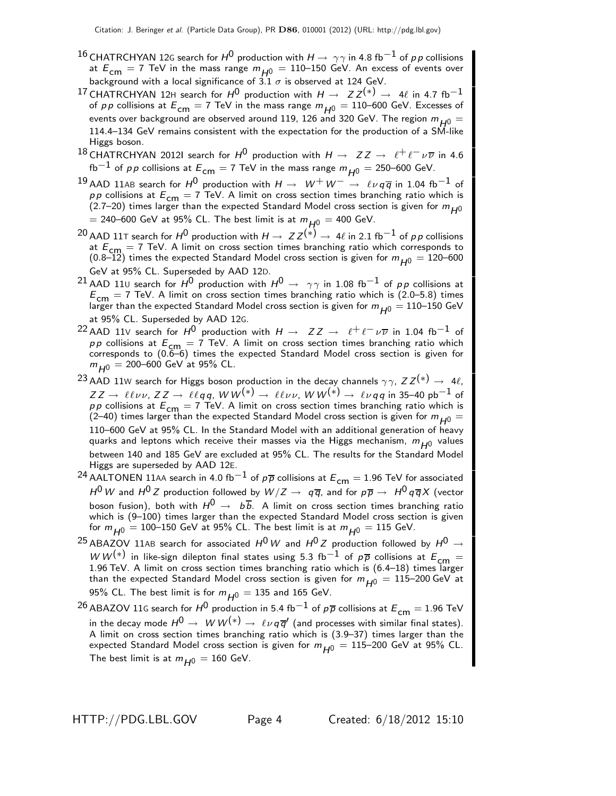- <sup>16</sup> CHATRCHYAN 12G search for  $H^0$  production with  $H \rightarrow \gamma \gamma$  in 4.8 fb<sup>-1</sup> of pp collisions at  $E_{cm} = 7$  TeV in the mass range  $m_{H^0} = 110$ –150 GeV. An excess of events over background with a local significance of  $3.1 \sigma$  is observed at 124 GeV.
- <sup>17</sup> CHATRCHYAN 12H search for  $H^0$  production with  $H \rightarrow ZZ^{(*)} \rightarrow 4\ell$  in 4.7 fb<sup>-1</sup> of pp collisions at  $E_{cm} = 7$  TeV in the mass range  $m_{H0} = 110$ –600 GeV. Excesses of events over background are observed around 119, 126 and 320 GeV. The region  $m_{H0} =$ 114.4–134 GeV remains consistent with the expectation for the production of a SM-like Higgs boson.
- 18 CHATRCHYAN 2012I search for  $H^0$  production with  $H \to ZZ \to \ell^+ \ell^- \nu \overline{\nu}$  in 4.6 fb<sup>−1</sup> of pp collisions at  $E_{cm} = 7$  TeV in the mass range  $m_{H0} = 250$ –600 GeV.
- <sup>19</sup> AAD 11AB search for  $H^0$  production with  $H \to W^+W^- \to \ell \nu q \overline{q}$  in 1.04 fb<sup>-1</sup> of p p collisions at  $E_{\text{cm}} = 7$  TeV. A limit on cross section times branching ratio which is (2.7–20) times larger than the expected Standard Model cross section is given for  $m_{H^0}$  $=$  240–600 GeV at 95% CL. The best limit is at  $m_{H0} = 400$  GeV.
- <sup>20</sup> AAD 11⊤ search for  $H^0$  production with  $H \to ZZ^{(*)} \to 4\ell$  in 2.1 fb<sup>-1</sup> of pp collisions at  $E_{cm} = 7$  TeV. A limit on cross section times branching ratio which corresponds to (0.8–12) times the expected Standard Model cross section is given for  $m_{H0} = 120$ –600 GeV at 95% CL. Superseded by AAD 12D.
- <sup>21</sup> AAD 110 search for  $H^0$  production with  $H^0 \rightarrow \gamma \gamma$  in 1.08 fb<sup>-1</sup> of pp collisions at  $E_{cm}$  = 7 TeV. A limit on cross section times branching ratio which is (2.0–5.8) times larger than the expected Standard Model cross section is given for  $m_{H0} = 110$ –150 GeV at 95% CL. Superseded by AAD 12G.
- 22 AAD 11V search for  $H^0$  production with  $H \to ZZ \to \ell^+ \ell^- \nu \overline{\nu}$  in 1.04 fb<sup>-1</sup> of  $p p$  collisions at  $E_{\text{cm}} = 7$  TeV. A limit on cross section times branching ratio which corresponds to (0.6–6) times the expected Standard Model cross section is given for  $m_{H^0}$  = 200–600 GeV at 95% CL.
- 23 AAD 11W search for Higgs boson production in the decay channels  $\gamma \gamma$ ,  $ZZ^{(*)} \rightarrow 4\ell$ ,  $ZZ\to\ell\ell\nu\nu$ ,  $ZZ\to\ell\ell q$ q, W W $^{(*)}\to\ell\ell\nu\nu$ , W W $^{(*)}\to\ell\nu q$ q in 35–40 pb $^{-1}$  of  $pp$  collisions at  $E_{\text{cm}} = 7$  TeV. A limit on cross section times branching ratio which is (2–40) times larger than the expected Standard Model cross section is given for  $m_{H0} =$ 110–600 GeV at 95% CL. In the Standard Model with an additional generation of heavy quarks and leptons which receive their masses via the Higgs mechanism,  $m_{H^0}$  values between 140 and 185 GeV are excluded at 95% CL. The results for the Standard Model Higgs are superseded by AAD 12E.
- <sup>24</sup> AALTONEN 11AA search in 4.0 fb<sup>-1</sup> of  $p\overline{p}$  collisions at  $E_{cm} = 1.96$  TeV for associated  $H^0 \, W$  and  $H^0 \, Z$  production followed by  $W/Z \to~ q \, \overline{q}$ , and for  $p \, \overline{p} \to~ H^0 \, q \, \overline{q} X$  (vector boson fusion), both with  $H^0 \rightarrow b\overline{b}$ . A limit on cross section times branching ratio which is (9–100) times larger than the expected Standard Model cross section is given for  $m_{H0} = 100$ –150 GeV at 95% CL. The best limit is at  $m_{H0} = 115$  GeV.
- <sup>25</sup> ABAZOV 11AB search for associated  $H^0$  W and  $H^0$  Z production followed by  $H^0 \rightarrow$  $WW^{(*)}$  in like-sign dilepton final states using 5.3 fb<sup>-1</sup> of  $p\overline{p}$  collisions at  $E_{\text{cm}} =$ 1.96 TeV. A limit on cross section times branching ratio which is  $(6.4-18)$  times larger than the expected Standard Model cross section is given for  $m_{H0} = 115$ –200 GeV at 95% CL. The best limit is for  $m_{H0} = 135$  and 165 GeV.
- <sup>26</sup> ABAZOV 11G search for  $H^0$  production in 5.4 fb $^{-1}$  of  $p\overline{p}$  collisions at  $E_{cm} = 1.96$  TeV in the decay mode  $H^0\to~W W^{(*)}\to~\ell\nu\,q\overline{q}^\prime$  (and processes with similar final states). A limit on cross section times branching ratio which is (3.9–37) times larger than the expected Standard Model cross section is given for  $m_{H0} = 115$ –200 GeV at 95% CL. The best limit is at  $m_{H0} = 160$  GeV.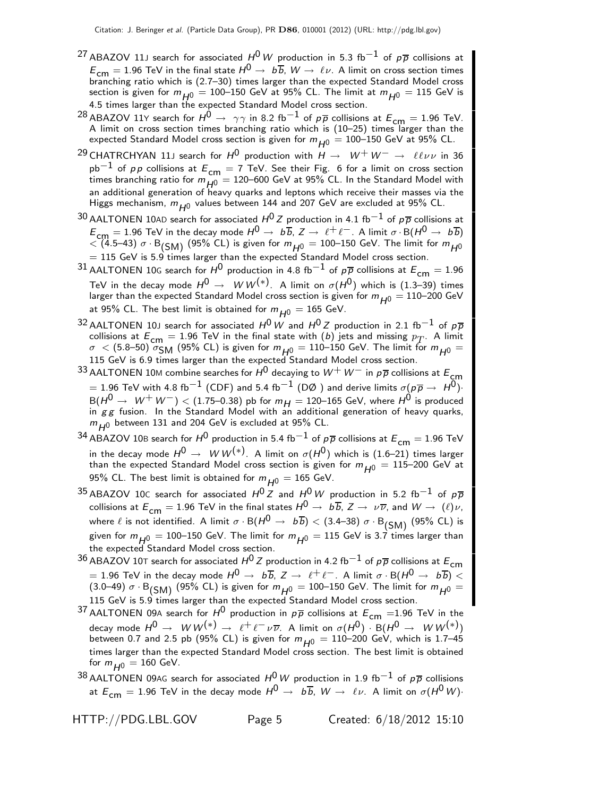- <sup>27</sup> ABAZOV 11J search for associated  $H^0\,W$  production in 5.3 fb $^{-1}$  of  $p\,\overline{p}$  collisions at  $E_{cm} = 1.96$  TeV in the final state  $H^0 \rightarrow b\overline{b}$ ,  $W \rightarrow \ell\nu$ . A limit on cross section times branching ratio which is (2.7–30) times larger than the expected Standard Model cross section is given for  $m_{H0} = 100$ –150 GeV at 95% CL. The limit at  $m_{H0} = 115$  GeV is 4.5 times larger than the expected Standard Model cross section.
- <sup>28</sup> ABAZOV 11Y search for  $H^0 \rightarrow \gamma \gamma$  in 8.2 fb<sup>-1</sup> of  $p\overline{p}$  collisions at  $E_{cm} = 1.96$  TeV. A limit on cross section times branching ratio which is (10–25) times larger than the expected Standard Model cross section is given for  $m_{H0} = 100-150$  GeV at 95% CL.
- <sup>29</sup> CHATRCHYAN 11J search for  $H^0$  production with  $H \to W^+ W^- \to \ell \ell \nu \nu$  in 36  $pb^{-1}$  of pp collisions at  $E_{cm} = 7$  TeV. See their Fig. 6 for a limit on cross section times branching ratio for  $m_{H0}^{201} = 120-600$  GeV at 95% CL. In the Standard Model with an additional generation of heavy quarks and leptons which receive their masses via the Higgs mechanism,  $m_{H^0}$  values between 144 and 207 GeV are excluded at 95% CL.
- $^{30}$  AALTONEN 10AD search for associated  $H^{0}$  Z production in 4.1 fb $^{-1}$  of  $p\overline{p}$  collisions at  $E_{cm} = 1.96$  TeV in the decay mode  $H^0 \to b\overline{b}$ ,  $Z \to \ell^+ \ell^-$ . A limit  $\sigma \cdot B(H^0 \to b\overline{b})$  $\langle$  (4.5–43) σ · B<sub>(SM)</sub> (95% CL) is given for  $m_{H^0} = 100$ –150 GeV. The limit for  $m_{H^0}$  $= 115$  GeV is 5.9 times larger than the expected Standard Model cross section.
- 31 AALTONEN 10G search for  $H^0$  production in 4.8 fb<sup>-1</sup> of  $p\overline{p}$  collisions at  $E_{cm} = 1.96$ TeV in the decay mode  $H^0 \rightarrow~W\,W^{(*)}.$  A limit on  $\sigma(H^0)$  which is (1.3–39) times larger than the expected Standard Model cross section is given for  $m_{H0} = 110$ –200 GeV at 95% CL. The best limit is obtained for  $m_{H^0} = 165$  GeV.
- $^{32}$  AALTONEN 10J search for associated  $H^{0}$  W and  $H^{0}$  Z production in 2.1 fb $^{-1}$  of  $p\overline{p}$ collisions at  $E_{cm} = 1.96$  TeV in the final state with (b) jets and missing  $p_T$ . A limit  $\sigma$  < (5.8–50)  $\sigma_{\text{SM}}$  (95% CL) is given for  $m_{H0} = 110$ –150 GeV. The limit for  $m_{H0} =$ 115 GeV is 6.9 times larger than the expected Standard Model cross section.
- 33 AALTONEN 10M combine searches for  $H^0$  decaying to  $W^+$   $W^-$  in  $p\overline{p}$  collisions at  $E_{\mathsf{cm}}$ = 1.96 TeV with 4.8 fb<sup>-1</sup> (CDF) and 5.4 fb<sup>-1</sup> (DØ) and derive limits  $\sigma(p\overline{p} \to H^0)$ · B( $H^0 \rightarrow W^+W^-$ ) < (1.75–0.38) pb for  $m_H =$  120–165 GeV, where  $H^0$  is produced in  $gg$  fusion. In the Standard Model with an additional generation of heavy quarks,  $m_{H0}$  between 131 and 204 GeV is excluded at 95% CL.
- $^{34}$  ABAZOV 10B search for  $H^0$  production in 5.4 fb $^{-1}$  of  $p\overline{p}$  collisions at  $E_{cm} = 1.96$  TeV in the decay mode  $H^0\,\rightarrow\,\,W\,W^{(*)}$ . A limit on  $\sigma(H^0)$  which is (1.6–21) times larger than the expected Standard Model cross section is given for  $m_{H0} = 115$ –200 GeV at 95% CL. The best limit is obtained for  $m_{H^0} = 165$  GeV.
- 35 ABAZOV 10C search for associated  $H^0 Z$  and  $H^0 W$  production in 5.2 fb<sup>-1</sup> of  $p\overline{p}$ collisions at  $E_{cm} = 1.96$  TeV in the final states  $H^0 \to b\overline{b}$ ,  $Z \to \nu\overline{\nu}$ , and  $W \to (\ell)\nu$ , where  $\ell$  is not identified. A limit  $\sigma \cdot B(H^0 \to b\overline{b}) < (3.4-38) \sigma \cdot B_{(SM)}$  (95% CL) is given for  $m_{H^0} = 100$ –150 GeV. The limit for  $m_{H^0} = 115$  GeV is 3.7 times larger than the expected Standard Model cross section.
- <sup>36</sup> ABAZOV 10⊤ search for associated  $H^0 Z$  production in 4.2 fb<sup>-1</sup> of p $\overline{p}$  collisions at  $E_{cm}$  $= 1.96$  TeV in the decay mode  $H^0 \to~b\overline{b}$ ,  $Z \to~\ell^+\ell^-$  . A limit  $\sigma \cdot {\rm B}(H^0 \to~b\overline{b}) < 0$ (3.0–49)  $\sigma$  · B<sub>(SM)</sub> (95% CL) is given for  $m_{H^0} =$  100–150 GeV. The limit for  $m_{H^0} =$ 115 GeV is 5.9 times larger than the expected Standard Model cross section.
- 37 AALTONEN 09A search for  $H^0$  production in  $p\overline{p}$  collisions at  $E_{cm} = 1.96$  TeV in the decay mode  $H^0 \to^- W W^{(*)} \to~ \ell^+ \ell^- \nu \overline{\nu}$ . A limit on  $\sigma(H^0) \cdot$  B( $H^0 \to^- W W^{(*)})$ between 0.7 and 2.5 pb (95% CL) is given for  $m_{H^0} = 110-200$  GeV, which is 1.7–45 times larger than the expected Standard Model cross section. The best limit is obtained for  $m_{H0} = 160$  GeV.
- 38 AALTONEN 09AG search for associated  $H^0$  W production in 1.9 fb $^{-1}$  of  $p\overline{p}$  collisions at  $E_{cm} = 1.96$  TeV in the decay mode  $H^0 \rightarrow b\overline{b}$ ,  $W \rightarrow \ell\nu$ . A limit on  $\sigma(H^0 W)$ ·

HTTP://PDG.LBL.GOV Page 5 Created: 6/18/2012 15:10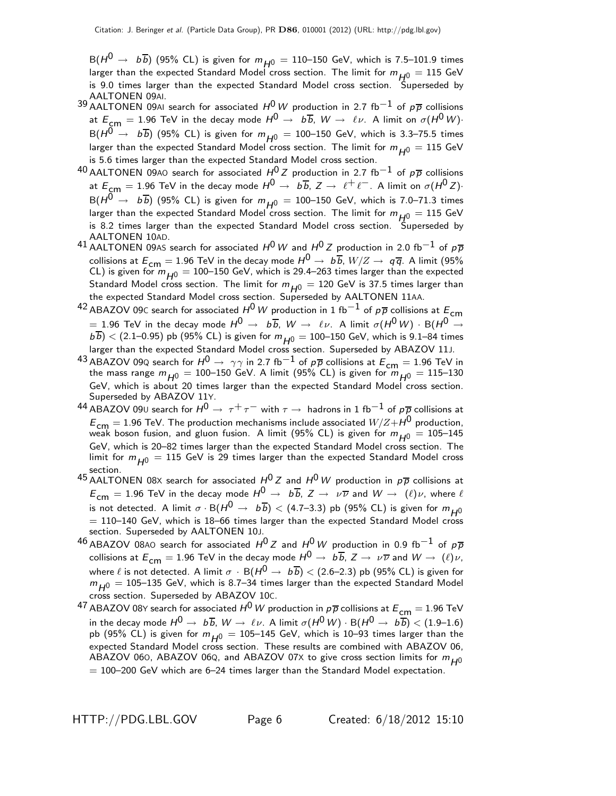$B(H^0 \rightarrow b\overline{b})$  (95% CL) is given for  $m_{H^0} = 110$ –150 GeV, which is 7.5–101.9 times larger than the expected Standard Model cross section. The limit for  $m_{H0} = 115$  GeV is 9.0 times larger than the expected Standard Model cross section. Superseded by AALTONEN 09AI.

- 39 AALTONEN 09AI search for associated  $H^0 W$  production in 2.7 fb<sup>-1</sup> of  $p\overline{p}$  collisions at  $E_{cm} = 1.96$  TeV in the decay mode  $H^0 \rightarrow b\overline{b}$ ,  $W \rightarrow \ell\nu$ . A limit on  $\sigma(H^0 W)$ .  $B(H^0 \rightarrow b\overline{b})$  (95% CL) is given for  $m_{H^0} = 100$ –150 GeV, which is 3.3–75.5 times larger than the expected Standard Model cross section. The limit for  $m_{H0} = 115$  GeV is 5.6 times larger than the expected Standard Model cross section.
- 40 AALTONEN 09AO search for associated  $H^{0}Z$  production in 2.7 fb<sup>-1</sup> of  $p\overline{p}$  collisions at  $E_{cm} = 1.96$  TeV in the decay mode  $H^0 \to b\overline{b}$ ,  $Z \to \ell^+ \ell^-$ . A limit on  $\sigma(H^0 Z)$ ·  $B(H^0 \rightarrow b\overline{b})$  (95% CL) is given for  $m_{H^0} = 100-150$  GeV, which is 7.0–71.3 times larger than the expected Standard Model cross section. The limit for  $m_{H0} = 115$  GeV is 8.2 times larger than the expected Standard Model cross section. Superseded by AALTONEN 10AD.
- 41 AALTONEN 09AS search for associated  $H^0 W$  and  $H^0 Z$  production in 2.0 fb<sup>-1</sup> of  $p\overline{p}$ collisions at  $E_{cm} = 1.96$  TeV in the decay mode  $H^0 \to b\overline{b}$ ,  $W/Z \to q\overline{q}$ . A limit (95%) CL) is given for  $m_{H0} = 100-150$  GeV, which is 29.4–263 times larger than the expected Standard Model cross section. The limit for  $m_{H0} = 120$  GeV is 37.5 times larger than the expected Standard Model cross section. Superseded by AALTONEN 11AA.
- <sup>42</sup> ABAZOV 09C search for associated  $H^0$  W production in 1 fb<sup>-1</sup> of pp collisions at  $E_{cm}$ = 1.96 TeV in the decay mode  $H^0 \to b\overline{b}$ ,  $W \to \ell\nu$ . A limit  $\sigma(H^0 W) \cdot B(H^0 \to b\overline{b})$  $\overline{b\,b})< (2.1\text{--}0.95)$  pb (95% CL) is given for  $m_{H0}^2=100\text{--}150$  GeV, which is 9.1–84 times larger than the expected Standard Model cross section. Superseded by ABAZOV 11J.
- 43 ABAZOV 09Q search for  $H^0 \rightarrow \gamma \gamma$  in 2.7 fb<sup>-1</sup> of p<sub>p</sub> collisions at  $E_{cm} = 1.96$  TeV in the mass range  $m_{H^0} = 100$ –150 GeV. A limit (95% CL) is given for  $m_{H^0} = 115$ –130 GeV, which is about 20 times larger than the expected Standard Model cross section. Superseded by ABAZOV 11Y.
- $^{44}$  ABAZOV 09∪ search for  $H^0 \rightarrow\ \tau^+ \tau^-$  with  $\tau \rightarrow\$  hadrons in 1 fb $^{-1}$  of  $\rho \overline{\rho}$  collisions at  $E_{cm} = 1.96$  TeV. The production mechanisms include associated  $W/Z + H^0$  production, weak boson fusion, and gluon fusion. A limit (95% CL) is given for  $m_{H0} = 105-145$ GeV, which is 20–82 times larger than the expected Standard Model cross section. The limit for  $m_{H0} = 115$  GeV is 29 times larger than the expected Standard Model cross section.
- 45 AALTONEN 08X search for associated  $H^0 Z$  and  $H^0 W$  production in  $p\overline{p}$  collisions at  $E_{cm} = 1.96$  TeV in the decay mode  $H^0 \to b\overline{b}$ ,  $Z \to \nu\overline{\nu}$  and  $W \to (\ell)\nu$ , where  $\ell$ is not detected. A limit  $\sigma \cdot B(H^0 \to b\overline{b}) < (4.7-3.3)$  pb (95% CL) is given for  $m_{H^0}$  $= 110$ –140 GeV, which is 18–66 times larger than the expected Standard Model cross section. Superseded by AALTONEN 10J.
- $^{46}$  ABAZOV 08AO search for associated  $H^{0}Z$  and  $H^{0}W$  production in 0.9 fb<sup>-1</sup> of  $p\overline{p}$ collisions at  $E_{cm} = 1.96$  TeV in the decay mode  $H^0 \rightarrow b\overline{b}$ ,  $Z \rightarrow \nu \overline{\nu}$  and  $W \rightarrow (\ell)\nu$ , where  $\ell$  is not detected. A limit  $\sigma$  · B( $H^0 \rightarrow b\overline{b}$ ) < (2.6–2.3) pb (95% CL) is given for  $m_{H0}$  = 105–135 GeV, which is 8.7–34 times larger than the expected Standard Model cross section. Superseded by ABAZOV 10C.
- $^{47}$  ABAZOV 08Y search for associated  $H^0$   $W$  production in  $\rho\overline{\rho}$  collisions at  $E_{\mathsf{cm}}=1.96$  TeV in the decay mode  $H^0 \to b\overline{b}$ ,  $W \to \ell\nu$ . A limit  $\sigma(H^0 W) \cdot B(H^0 \to b\overline{b}) < (1.9-1.6)$ pb (95% CL) is given for  $m_{H0} = 105$ –145 GeV, which is 10–93 times larger than the expected Standard Model cross section. These results are combined with ABAZOV 06, ABAZOV 060, ABAZOV 060, and ABAZOV 07X to give cross section limits for  $m_{H0}$  $= 100$ –200 GeV which are 6–24 times larger than the Standard Model expectation.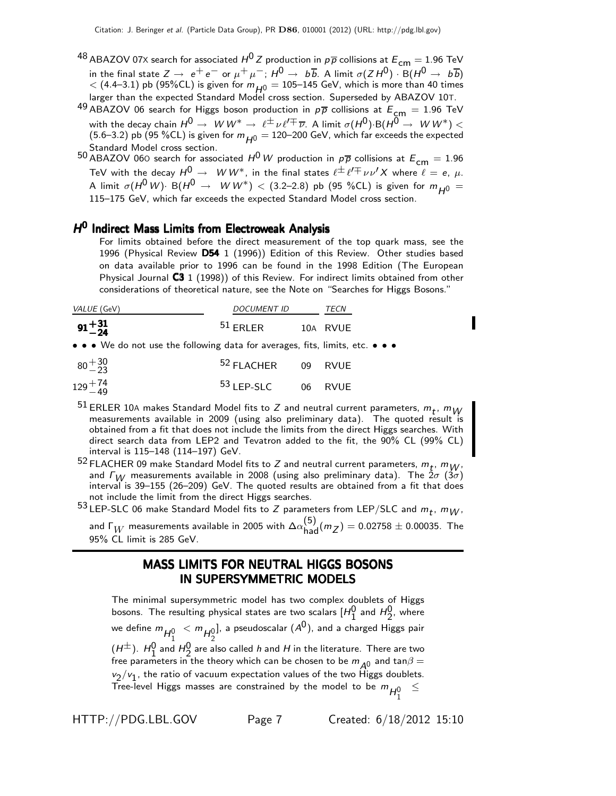- <sup>48</sup> ABAZOV 07X search for associated  $H^0$  Z production in  $p\overline{p}$  collisions at  $E_{cm} = 1.96$  TeV in the final state  $Z\to~e^+e^-\,$  or  $\mu^+\mu^-;\,H^0\to~b\overline{b}.$  A limit  $\sigma(ZH^0)\cdot {\rm B}(H^0\to~b\overline{b})$  $<$  (4.4–3.1) pb (95%CL) is given for  $m_{H^0} = 105$ –145 GeV, which is more than 40 times larger than the expected Standard Model cross section. Superseded by ABAZOV 10T.
- 49 ABAZOV 06 search for Higgs boson production in  $p\bar{p}$  collisions at  $E_{cm} = 1.96$  TeV with the decay chain  $H^0\to\;^W W^*\to\;\ell^\pm\nu\ell'^\mp\overline{\nu}$ . A limit  $\sigma(H^0)\!\cdot\!{\rm B}(H^0\to\;^W W^*)<$ (5.6–3.2) pb (95 %CL) is given for  $m_{H0} = 120$ –200 GeV, which far exceeds the expected Standard Model cross section.
- 50 ABAZOV 060 search for associated  $H^0$  W production in  $p\overline{p}$  collisions at  $E_{cm} = 1.96$ TeV with the decay  $H^0\, \rightarrow\, \, W\, W^*$ , in the final states  $\ell^\pm\, \ell'^\mp\,\nu\,\nu' X$  where  $\ell\,=\,e,\;\mu.$ A limit  $\sigma(H^0 W)$ · B $(H^0 \rightarrow W W^*)$   $\lt$  (3.2–2.8) pb (95 %CL) is given for  $m_{H^0} =$ 115–175 GeV, which far exceeds the expected Standard Model cross section.

#### H<sup>0</sup> Indirect Mass Limits from Electroweak Analysis

For limits obtained before the direct measurement of the top quark mass, see the 1996 (Physical Review D54 1 (1996)) Edition of this Review. Other studies based on data available prior to 1996 can be found in the 1998 Edition (The European Physical Journal C3 1 (1998)) of this Review. For indirect limits obtained from other considerations of theoretical nature, see the Note on "Searches for Higgs Bosons."

| VALUE (GeV)        | <i>DOCUMENT ID</i> | TECN |          |
|--------------------|--------------------|------|----------|
| $91 + 31$<br>$-24$ | $51$ FRI FR        |      | 10A RVUE |

• • • We do not use the following data for averages, fits, limits, etc. • • •

| $80 + \frac{30}{23}$ | <sup>52</sup> FLACHER 09 RVUE |  |
|----------------------|-------------------------------|--|
| $129 + 74$           | <sup>53</sup> LEP-SLC 06 RVUE |  |

- <sup>51</sup> ERLER 10A makes Standard Model fits to Z and neutral current parameters,  $m_t$ ,  $m_W$ measurements available in 2009 (using also preliminary data). The quoted result is obtained from a fit that does not include the limits from the direct Higgs searches. With direct search data from LEP2 and Tevatron added to the fit, the 90% CL (99% CL) interval is 115–148 (114–197) GeV.
- <sup>52</sup> FLACHER 09 make Standard Model fits to Z and neutral current parameters,  $m_t$ ,  $m_W$ , and  $\Gamma_W$  measurements available in 2008 (using also preliminary data). The  $2\sigma$  ( $3\sigma$ ) interval is 39–155 (26–209) GeV. The quoted results are obtained from a fit that does not include the limit from the direct Higgs searches.

53 LEP-SLC 06 make Standard Model fits to Z parameters from LEP/SLC and  $m_t$ ,  $m_W$ , and  $\Gamma_W$  measurements available in 2005 with  $\Delta \alpha_{\rm had}^{(5)} (m_Z) = 0.02758 \pm 0.00035$ . The 95% CL limit is 285 GeV.

#### MASS LIMITS FOR NEUTRAL HIGGS BOSONS IN SUPERSYMMETRIC MODELS

The minimal supersymmetric model has two complex doublets of Higgs bosons. The resulting physical states are two scalars  $[H_1^0$  and  $H_2^0$ , where we define  $m_{H_1^0} < m_{H_2^0}$ ], a pseudoscalar  $({\mathcal A}^0)$ , and a charged Higgs pair  $(\mu^{\pm})$ .  $H_1^0$  and  $H_2^0$  are also called h and H in the literature. There are two free parameters in the theory which can be chosen to be  $m_{A^0}$  and  $\tan\beta =$  $v_2/v_1$ , the ratio of vacuum expectation values of the two Higgs doublets. Tree-level Higgs masses are constrained by the model to be  $m_{H_1^0}$ ≤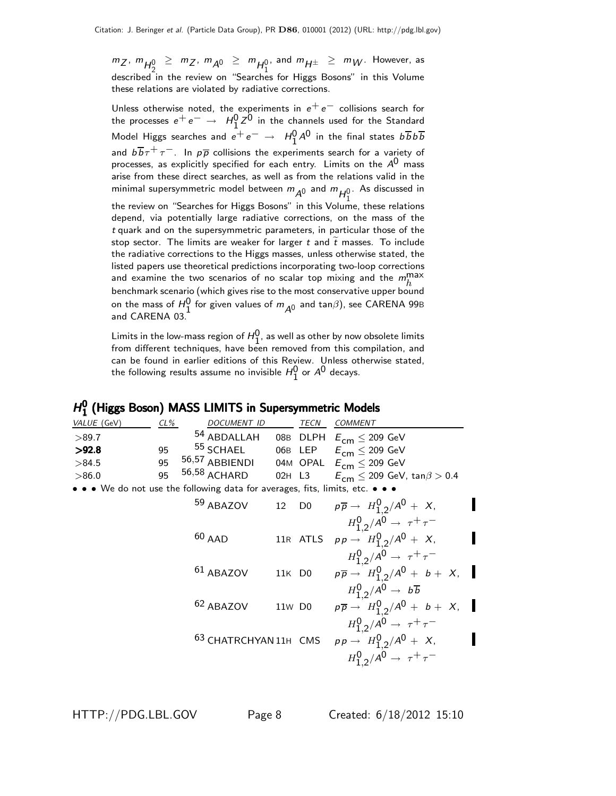$\binom{m}{2}$ ,  $\binom{m}{1}$ ,  $\binom{m}{2}$ ,  $\binom{m}{2}$ ,  $\binom{m}{2}$ ,  $\binom{m}{2}$ ,  $\binom{m}{2}$ ,  $\binom{m}{2}$ ,  $\binom{m}{2}$ ,  $\binom{m}{2}$ ,  $\binom{m}{2}$ ,  $\binom{m}{2}$ ,  $\binom{m}{2}$ ,  $\binom{m}{2}$ ,  $\binom{m}{2}$ ,  $\binom{m}{2}$ ,  $\binom{m}{2}$ ,  $\binom{m}{2}$ ,  $\binom{$ described in the review on "Searches for Higgs Bosons" in this Volume these relations are violated by radiative corrections.

Unless otherwise noted, the experiments in  $e^+e^-$  collisions search for the processes  $e^+e^-\,\rightarrow\,\,H_1^0\,Z^0$  in the channels used for the Standard Model Higgs searches and  $e^+e^-\,\rightarrow\,\,H_1^0{A^0}$  in the final states  $b\overline{b}b\overline{b}$ and  $b\overline{b}\tau^+\tau^-$ . In  $p\overline{p}$  collisions the experiments search for a variety of processes, as explicitly specified for each entry. Limits on the  $A^{0}$  mass arise from these direct searches, as well as from the relations valid in the minimal supersymmetric model between  $m_{\cal A^0}$  and  $m_{\cal H_1^0}$ . As discussed in

the review on "Searches for Higgs Bosons" in this Volume, these relations depend, via potentially large radiative corrections, on the mass of the t quark and on the supersymmetric parameters, in particular those of the stop sector. The limits are weaker for larger t and  $\tilde{t}$  masses. To include the radiative corrections to the Higgs masses, unless otherwise stated, the listed papers use theoretical predictions incorporating two-loop corrections and examine the two scenarios of no scalar top mixing and the  $m_h^{\text{max}}$ benchmark scenario (which gives rise to the most conservative upper bound on the mass of  $H_0^0$  for given values of  $m_{A^0}$  and  $\tan\!\beta$ ), see CARENA 99B and CARENA 03.

Limits in the low-mass region of  $H_1^0$ , as well as other by now obsolete limits from different techniques, have been removed from this compilation, and can be found in earlier editions of this Review. Unless otherwise stated, the following results assume no invisible  $H_1^0$  or  $A^0$  decays.

#### $H_1^0$ 1 (Higgs Boson) MASS LIMITS in Supersymmetric Models

| .                                                                                                                                               |     |                       |        |                   |                                                                  |
|-------------------------------------------------------------------------------------------------------------------------------------------------|-----|-----------------------|--------|-------------------|------------------------------------------------------------------|
| VALUE (GeV)                                                                                                                                     | CL% | DOCUMENT ID           |        | TECN              | COMMENT                                                          |
| >89.7                                                                                                                                           |     | 54 ABDALLAH           |        |                   | 08B DLPH $E_{cm} \leq 209$ GeV                                   |
| >92.8                                                                                                                                           | 95  | 55 SCHAEL             |        |                   | 06B LEP $E_{cm} \leq 209$ GeV                                    |
| >84.5                                                                                                                                           | 95  | 56,57 ABBIENDI        |        |                   | 04M OPAL $E_{cm} \leq 209$ GeV                                   |
| >86.0                                                                                                                                           | 95  | 56,58 ACHARD          | 02H L3 |                   | $E^{}_{\sf cm} \le 209$ GeV, tan $\beta > 0.4$                   |
| $\bullet\,\bullet\,\mathsf{W}\mathrm{e}$ do not use the following data for averages, fits, limits, etc. $\bullet\,\bullet\,\bullet\,\mathsf{e}$ |     |                       |        |                   |                                                                  |
|                                                                                                                                                 |     | 59 ABAZOV             |        | 12 D <sub>0</sub> | $p\overline{p} \rightarrow H_{1,2}^0/A^0 + X$ ,                  |
|                                                                                                                                                 |     |                       |        |                   | $H_1^0$ <sub>2</sub> /A <sup>0</sup> $\rightarrow \tau^+ \tau^-$ |
|                                                                                                                                                 |     | $60$ AAD              |        |                   | 11R ATLS $pp \to H_{1,2}^0/A^0 + X$ ,                            |
|                                                                                                                                                 |     |                       |        |                   | $H_1^0$ <sub>2</sub> /A <sup>0</sup> $\rightarrow \tau^+ \tau^-$ |
|                                                                                                                                                 |     | <sup>61</sup> ABAZOV  |        | 11K D0            | $p\overline{p} \rightarrow H_{1,2}^0/A^0 + b + X,$               |
|                                                                                                                                                 |     |                       |        |                   | $H_1^0$ <sub>2</sub> /A <sup>0</sup> $\rightarrow b\overline{b}$ |
|                                                                                                                                                 |     | 62 ABAZOV             | 11w D0 |                   | $p\overline{p} \to H_{1,2}^0/A^0 + b + X,$                       |
|                                                                                                                                                 |     |                       |        |                   | $H_{1,2}^0/A^0 \to \tau^+\tau^-$                                 |
|                                                                                                                                                 |     | 63 CHATRCHYAN 11H CMS |        |                   | $pp \to H_{1,2}^0/A^0 + X$ ,                                     |
|                                                                                                                                                 |     |                       |        |                   | $H_1^0$ <sub>2</sub> /A <sup>0</sup> $\rightarrow \tau^+ \tau^-$ |
|                                                                                                                                                 |     |                       |        |                   |                                                                  |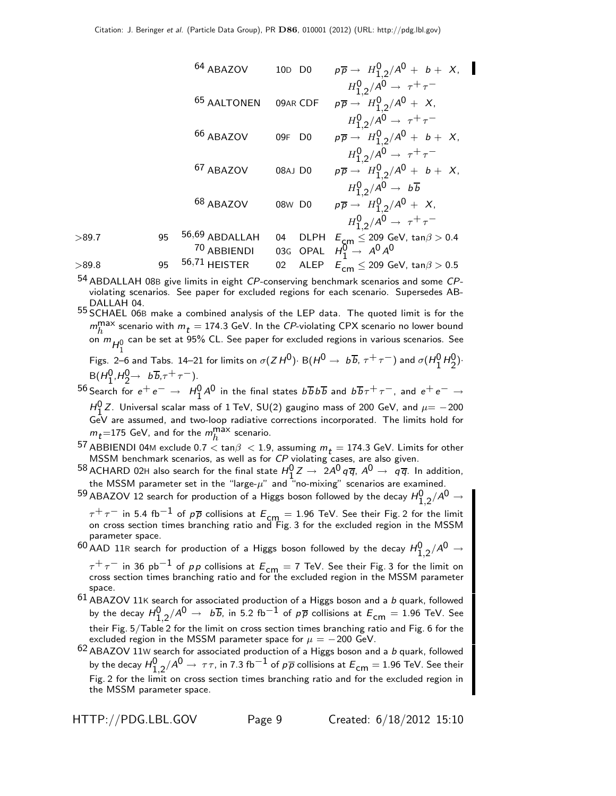64 ABAZOV 10D D0 
$$
p\overline{p} \rightarrow H_{1,2}^{0}/A^{0} + b + X
$$
,  
\n $H_{1,2}^{0}/A^{0} \rightarrow \tau^{+}\tau^{-}$   
\n65 AALTONEN 09AR CDF  $p\overline{p} \rightarrow H_{1,2}^{0}/A^{0} + X$ ,  
\n $H_{1,2}^{0}/A^{0} \rightarrow \tau^{+}\tau^{-}$   
\n66 ABAZOV 09F D0  $p\overline{p} \rightarrow H_{1,2}^{0}/A^{0} + b + X$ ,  
\n $H_{1,2}^{0}/A^{0} \rightarrow \tau^{+}\tau^{-}$   
\n67 ABAZOV 08AJ D0  $p\overline{p} \rightarrow H_{1,2}^{0}/A^{0} + b + X$ ,  
\n $H_{1,2}^{0}/A^{0} \rightarrow b\overline{b}$   
\n68 ABAZOV 08W D0  $p\overline{p} \rightarrow H_{1,2}^{0}/A^{0} + X$ ,  
\n $H_{1,2}^{0}/A^{0} \rightarrow b\overline{b}$   
\n68 ABAZOV 08W D0  $p\overline{p} \rightarrow H_{1,2}^{0}/A^{0} + X$ ,  
\n $H_{1,2}^{0}/A^{0} \rightarrow \tau^{+}\tau^{-}$   
\n95 56,69 ABDALLAH 04 DLPH  $E_{cm} \leq 209$  GeV,  $\tan\beta > 0.4$   
\n70 ABBIENDI 03G OPAL  $H_{1}^{0} \rightarrow A^{0}A^{0}$   
\n95 56,71 HEISTER 02 ALEP  $E_{cm} \leq 209$  GeV,  $\tan\beta > 0.5$ 

 $54$  ABDALLAH 08B give limits in eight CP-conserving benchmark scenarios and some CPviolating scenarios. See paper for excluded regions for each scenario. Supersedes AB-DALLAH 04.

55 SCHAEL 06<sup>B</sup> make a combined analysis of the LEP data. The quoted limit is for the  $m_h^{\text{max}}$  scenario with  $m_t = 174.3$  GeV. In the CP-violating CPX scenario no lower bound on  $m_{H_1^0}$  can be set at 95% CL. See paper for excluded regions in various scenarios. See

Figs. 2–6 and Tabs. 14–21 for limits on  $\sigma(ZH^0)$ · B $(H^0 \rightarrow b\overline{b}, \tau^+\tau^-)$  and  $\sigma(H_1^0H_2^0)$ ·  $B(H_1^0, H_2^0 → b\overline{b}, \tau^+ \tau^-).$ <br>B( $H_1^0, H_2^0 → b\overline{b}, \tau^+ \tau^-$ ).

 $^{56}$  Search for  $e^+e^-\to H_1^0A^0$  in the final states  $b\overline{b}b\overline{b}$  and  $b\overline{b}\tau^+\tau^-$ , and  $e^+e^-\to e^ H_0^0$  Z. Universal scalar mass of 1 TeV, SU(2) gaugino mass of 200 GeV, and  $\mu = -200$ GeV are assumed, and two-loop radiative corrections incorporated. The limits hold for  $m_t$ =175 GeV, and for the  $m_h^{\rm max}$  scenario.

57 ABBIENDI 04M exclude 0.7  $<$  tan $\beta$   $<$  1.9, assuming  $m_t$  = 174.3 GeV. Limits for other MSSM benchmark scenarios, as well as for CP violating cases, are also given.

- $^{58}$  ACHARD 02H also search for the final state  $H_1^0 Z \rightarrow 2A^0 q \overline{q}$ ,  $A^0 \rightarrow q \overline{q}$ . In addition, the MSSM parameter set in the "large- $\mu$ " and "no-mixing" scenarios are examined.
- $^{59}$  ABAZOV 12 search for production of a Higgs boson followed by the decay  $H_{1,2}^0/A^0\rightarrow$

 $\tau^+\tau^-$  in 5.4 fb $^{-1}$  of  $\rho\overline{\rho}$  collisions at  $E_{\mathsf{cm}}=1.96$  TeV. See their Fig. 2 for the limit<br>on cross section times branching ratio and Fig. 3 for the excluded region in the MSSM parameter space.

 $^{60}$  AAD 11R search for production of a Higgs boson followed by the decay  $H_{1,2}^0/A^0\rightarrow$ 

 $\tau^+\tau^-$  in 36 pb $^{-1}$  of  $\rho\,p$  collisions at  $E_{\mathsf{cm}}=7$  TeV. See their Fig. 3 for the limit on<br>cross section times branching ratio and for the excluded region in the MSSM parameter space.

 $61$  ABAZOV 11K search for associated production of a Higgs boson and a b quark, followed by the decay  $H_{1,2}^0/A^0\to~b\overline{b}$ , in 5.2 fb $^{-1}$  of  $p\overline{p}$  collisions at  $E_{\mathsf{cm}}=1.96$  TeV. See their Fig. 5/Table 2 for the limit on cross section times branching ratio and Fig. 6 for the excluded region in the MSSM parameter space for  $\mu = -200$  GeV.

 $^{62}$  ABAZOV  $11$ W search for associated production of a Higgs boson and a  $\emph{b}$  quark, followed by the decay  $H_{1,2}^0/A^0\to~\tau\tau$ , in 7.3 fb $^{-1}$  of  $\rho\overline\rho$  collisions at  $E_{\mathsf{cm}}=$  1.96 TeV. See their Fig. 2 for the limit on cross section times branching ratio and for the excluded region in the MSSM parameter space.

HTTP://PDG.LBL.GOV Page 9 Created: 6/18/2012 15:10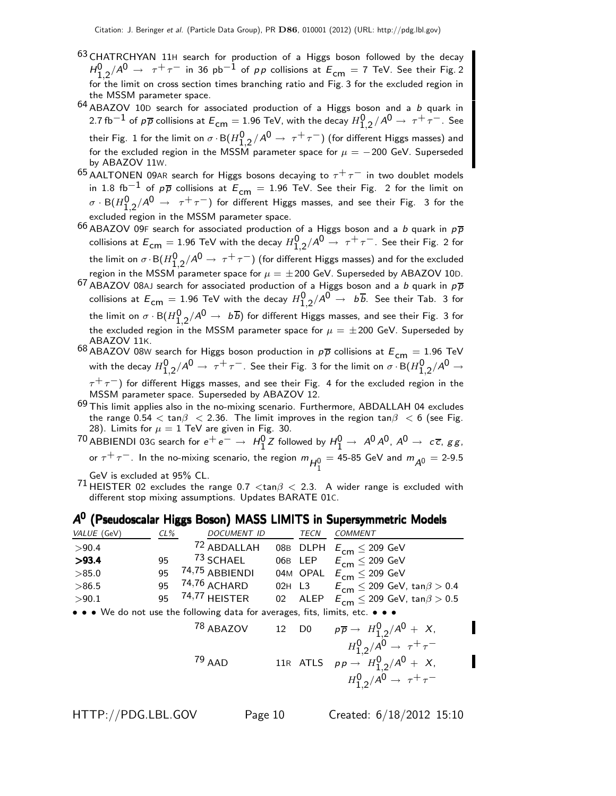- <sup>63</sup> CHATRCHYAN 11H search for production of a Higgs boson followed by the decay  $H_{1,2}^0/A^0$   $\rightarrow$   $~\tau^+\tau^-$  in 36 pb $^{-1}$  of  $p\,p$  collisions at  $E_{\mathsf{cm}}=$  7 TeV. See their Fig. 2 for the limit on cross section times branching ratio and Fig. 3 for the excluded region in the MSSM parameter space.
- $64$  ABAZOV 10D search for associated production of a Higgs boson and a b quark in 2.7 fb $^{-1}$  of  $p\overline{p}$  collisions at  $E_{\mathsf{cm}}=$  1.96 TeV, with the decay  $H_{1,2}^0/A^0\to~\tau^+\tau^-$  . See their Fig. 1 for the limit on  $\sigma\cdot$  B $(H_{1,2}^{\mathsf{0}}/ \mathsf{A}^{\mathsf{0}} \to~ \tau^+ \tau^-)$  (for different Higgs masses) and for the excluded region in the MSSM parameter space for  $\mu = -200$  GeV. Superseded by ABAZOV 11W.
- $^{65}$  AALTONEN 09AR search for Higgs bosons decaying to  $\tau^+\tau^-$  in two doublet models in 1.8 fb<sup>-1</sup> of  $p\overline{p}$  collisions at  $E_{cm} = 1.96$  TeV. See their Fig. 2 for the limit on  $\sigma \cdot {\sf B}(H_{1,2}^{\sf 0}/\mathcal{A}^{\sf 0} \to~\tau^+\tau^-)$  for different Higgs masses, and see their Fig. 3 for the excluded region in the MSSM parameter space.
- $^{66}\,$ ABAZOV 09F search for associated production of a Higgs boson and a b quark in  $\rho\overline{\rho}$ collisions at  $E_{\sf cm}=$  1.96 TeV with the decay  $H_{1,2}^0/A^0\rightarrow~\tau^+\tau^-$ . See their Fig. 2 for the limit on  $\sigma\cdot\mathsf{B}(H_{1,2}^{\mathsf{0}}/\mathsf{A}^{\mathsf{0}}\to~\tau^+\tau^-)$  (for different Higgs masses) and for the excluded region in the MSSM parameter space for  $\mu=\pm 200$  GeV. Superseded by ABAZOV 10D.
- $^{67}$  ABAZOV 08AJ search for associated production of a Higgs boson and a b quark in  $\rho \overline{\rho}$ collisions at  $E^{}_{\sf cm} =$  1.96 TeV with the decay  $H_{1,2}^{\sf 0}/A^{\sf 0} \rightarrow~$   $b\overline b.$  See their Tab. 3 for the limit on  $\sigma\cdot {\sf B}(H_{1,2}^{\sf 0}/\mathsf{A}^{\sf 0}\to\;b\,\overline b)$  for different Higgs masses, and see their Fig. 3 for the excluded region in the MSSM parameter space for  $\mu = \pm 200$  GeV. Superseded by ABAZOV 11K.
- 68 ABAZOV 08W search for Higgs boson production in  $p\overline{p}$  collisions at  $E_{cm} = 1.96$  TeV with the decay  $H_{1,2}^0/A^0\to~\tau^+\tau^-$ . See their Fig. 3 for the limit on  $\sigma\cdot$ B $(H_{1,2}^0/A^0\to$  $\tau^+\tau^-$ ) for different Higgs masses, and see their Fig. 4 for the excluded region in the MSSM parameter space. Superseded by ABAZOV 12.
- $69$  This limit applies also in the no-mixing scenario. Furthermore, ABDALLAH 04 excludes the range  $0.54 < \tan\beta < 2.36$ . The limit improves in the region  $\tan\beta < 6$  (see Fig. 28). Limits for  $\mu=1$  TeV are given in Fig. 30.
- $70$  ABBIENDI 03G search for  $e^+e^-\rightarrow H_1^0Z$  followed by  $H_1^0\rightarrow A^0A^0$ ,  $A^0\rightarrow c\overline{c}$ ,  $gg$ , or  $\tau^+ \tau^-$ . In the no-mixing scenario, the region  $m_{\tilde{H}_1^0} = 45$ -85 GeV and  $m_{\tilde{A}^0} = 2$ -9.5

GeV is excluded at 95% CL.

71 HEISTER 02 excludes the range 0.7  $\langle \tan \beta \langle 2.3 \rangle$  A wider range is excluded with different stop mixing assumptions. Updates BARATE 01C.

#### A<sup>0</sup> (Pseudoscalar Higgs Boson) MASS LIMITS in Supersymmetric Models

| VALUE (GeV)                                                                   | $CL\%$    | DOCUMENT ID               |  | TECN | COMMENT                                         |  |  |  |
|-------------------------------------------------------------------------------|-----------|---------------------------|--|------|-------------------------------------------------|--|--|--|
| >90.4                                                                         |           | <sup>72</sup> ABDALLAH    |  |      | 08B DLPH $E_{cm} \leq 209$ GeV                  |  |  |  |
| >93.4                                                                         | 95        | <sup>73</sup> SCHAEL      |  |      | 06B LEP $E_{cm} \leq 209$ GeV                   |  |  |  |
| >85.0                                                                         | <b>Qհ</b> | <sup>74,75</sup> ABBIENDI |  |      | 04M OPAL $E_{cm} \leq 209$ GeV                  |  |  |  |
| >86.5                                                                         | 95        | 74,76 <sub>ACHARD</sub>   |  |      | 02H L3 $E_{cm} \le 209$ GeV, tan $\beta > 0.4$  |  |  |  |
| >90.1                                                                         |           | 95 74,77 HEISTER          |  |      | 02 ALEP $E_{cm} \le 209$ GeV, tan $\beta > 0.5$ |  |  |  |
| • • • We do not use the following data for averages, fits, limits, etc. • • • |           |                           |  |      |                                                 |  |  |  |

 $78$  ABAZOV 12 D0  $p\overline{p} \rightarrow H_{1,2}^0/ A^0 + X,$  $H_{1,2}^0/A^0 \to \tau^+\tau^ 79$  AAD 11R ATLS  $p p \rightarrow H_{1,2}^0 / A^0 + X$ ,  $H_{1,2}^0/A^0 \to \tau^+\tau^-$ 

I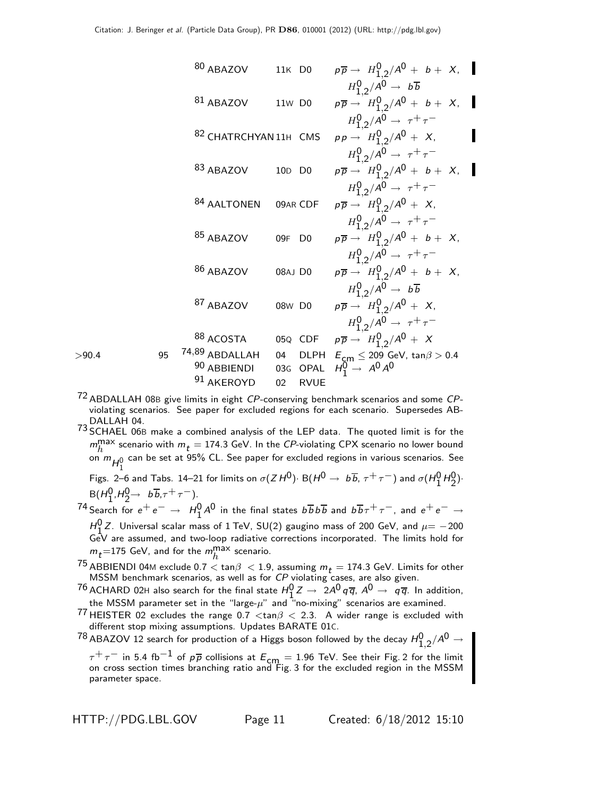80 ABAZOV 11K DO 
$$
p\overline{p} \rightarrow H_{1,2}^{0}/A^{0} + b + X
$$
,  
\n $H_{1,2}^{0}/A^{0} \rightarrow b\overline{b}$   
\n81 ABAZOV 11W DO  $p\overline{p} \rightarrow H_{1,2}^{0}/A^{0} + b + X$ ,  
\n $H_{1,2}^{0}/A^{0} \rightarrow \tau^{+}\tau^{-}$   
\n82 CHATRCHYAN11H CMS  $p p \rightarrow H_{1,2}^{0}/A^{0} + X$ ,  
\n $H_{1,2}^{0}/A^{0} \rightarrow \tau^{+}\tau^{-}$   
\n83 ABAZOV 10D DO  $p\overline{p} \rightarrow H_{1,2}^{0}/A^{0} + b + X$ ,  
\n $H_{1,2}^{0}/A^{0} \rightarrow \tau^{+}\tau^{-}$   
\n84 AALTONEN 09AR CDF  $p\overline{p} \rightarrow H_{1,2}^{0}/A^{0} + X$ ,  
\n $H_{1,2}^{0}/A^{0} \rightarrow \tau^{+}\tau^{-}$   
\n85 ABAZOV 09F DO  $p\overline{p} \rightarrow H_{1,2}^{0}/A^{0} + b + X$ ,  
\n $H_{1,2}^{0}/A^{0} \rightarrow \tau^{+}\tau^{-}$   
\n86 ABAZOV 08AJ DO  $p\overline{p} \rightarrow H_{1,2}^{0}/A^{0} + b + X$ ,  
\n $H_{1,2}^{0}/A^{0} \rightarrow \tau^{+}\tau^{-}$   
\n86 ABAZOV 08W DO  $p\overline{p} \rightarrow H_{1,2}^{0}/A^{0} + b + X$ ,  
\n $H_{1,2}^{0}/A^{0} \rightarrow b\overline{b}$   
\n87 ABAZOV 08W DO  $p\overline{p} \rightarrow H_{1,2}^{0}/A^{0} + X$ ,  
\n $H_{1,2}^{0}/A^{0} \rightarrow \tau^{+}\tau^{-}$   
\n88 ACOSTA 05Q CDF  $p\overline{p} \rightarrow H_{1,2}^{0}/A^{0} + X$ ,  
\n $H_{1,2}^{0}/A^{0} \rightarrow \tau^{+}\tau^{-}$   
\n88 ACOSTA 05Q CDF  $p\overline{p} \rightarrow H_{1$ 

 $72$  ABDALLAH 08B give limits in eight CP-conserving benchmark scenarios and some CPviolating scenarios. See paper for excluded regions for each scenario. Supersedes AB-DALLAH 04.

73 SCHAEL 06<sup>B</sup> make a combined analysis of the LEP data. The quoted limit is for the  $m_h^{\text{max}}$  scenario with  $m_t = 174.3$  GeV. In the CP-violating CPX scenario no lower bound on  $m_{H_1^0}$  can be set at 95% CL. See paper for excluded regions in various scenarios. See

Figs. 2–6 and Tabs. 14–21 for limits on  $\sigma(ZH^0)$ · B $(H^0 \rightarrow b\overline{b}, \tau^+ \tau^-)$  and  $\sigma(H_1^0H_2^0)$ ·  $B(H_1^0, H_2^0 \rightarrow b\overline{b}, \tau^+ \tau^-).$ 

 $7^4$  Search for  $e^+e^-\to H_1^0A^0$  in the final states  $b\overline{b}b\overline{b}$  and  $b\overline{b}\tau^+\tau^-$ , and  $e^+e^-\to e^ H_0^0$  Z. Universal scalar mass of 1 TeV, SU(2) gaugino mass of 200 GeV, and  $\mu$  = -200 GeV are assumed, and two-loop radiative corrections incorporated. The limits hold for  $m_{\tilde{t}}$ =175 GeV, and for the  $m_h^{\rm max}$  scenario.

- $m_t$ –115 dev, and for the  $m_h$  scenario.<br>
75 ABBIENDI 04M exclude 0.7  $<$  tan $\beta$   $<$  1.9, assuming  $m_t$  = 174.3 GeV. Limits for other<br>
MSSM benchmark scenarios, as well as for *CP* violating cases, are also given.
- <sup>76</sup> ACHARD 02H also search for the final state  $H_1^0 Z \to 2A^0 q \overline{q}$ ,  $A^0 \to q \overline{q}$ . In addition, the MSSM parameter set in the "large- $\mu$ " and "no-mixing" scenarios are examined.
- 77 HEISTER 02 excludes the range 0.7  $<$ tan $\beta$   $<$  2.3. A wider range is excluded with different stop mixing assumptions. Updates BARATE 01C.
- $^{78}$  ABAZOV 12 search for production of a Higgs boson followed by the decay  $H_{1,2}^0/A^0\rightarrow$

 $\tau^+\tau^-$  in 5.4 fb $^{-1}$  of  $\rho\overline{\rho}$  collisions at  $E_{\mathsf{cm}}=1.96$  TeV. See their Fig. 2 for the limit<br>on cross section times branching ratio and Fig. 3 for the excluded region in the MSSM parameter space.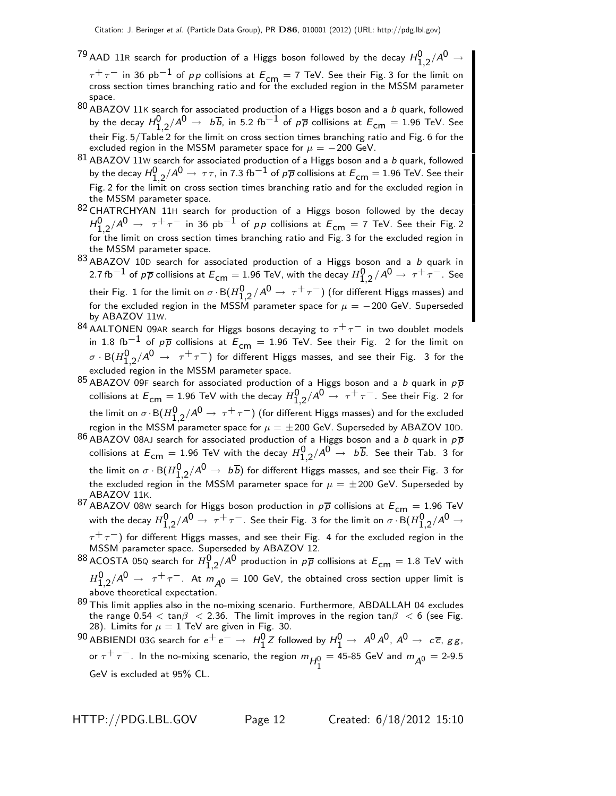$^{79}$  AAD 11R search for production of a Higgs boson followed by the decay  $H_{1,2}^0/A^0\rightarrow$ 

 $\tau^+\tau^-$  in 36 pb $^{-1}$  of pp collisions at  $E_{cm} = 7$  TeV. See their Fig. 3 for the limit on cross section times branching ratio and for the excluded region in the MSSM parameter space.

- $80$  ABAZOV 11K search for associated production of a Higgs boson and a b quark, followed by the decay  $H_{1,2}^0/A^0\to~$   $b\overline{b}$ , in 5.2 fb $^{-1}$  of  $p\overline{p}$  collisions at  $E_{\mathsf{cm}}=1.96$  TeV. See their Fig. 5/Table 2 for the limit on cross section times branching ratio and Fig. 6 for the excluded region in the MSSM parameter space for  $\mu = -200$  GeV.
- $81$  ABAZOV 11W search for associated production of a Higgs boson and a b quark, followed by the decay  $H_{1,2}^0/A^0\to~\tau\tau$ , in 7.3 fb $^{-1}$  of  $\rho\overline\rho$  collisions at  $E_{\mathsf{cm}}=$  1.96 TeV. See their Fig. 2 for the limit on cross section times branching ratio and for the excluded region in the MSSM parameter space.
- 82 CHATRCHYAN 11H search for production of a Higgs boson followed by the decay  $H_{1,2}^0/A^0$   $\rightarrow$   $~\tau^+\tau^-$  in 36 pb $^{-1}$  of  $p\,p$  collisions at  $E_{\mathsf{cm}}=$  7 TeV. See their Fig. 2 for the limit on cross section times branching ratio and Fig. 3 for the excluded region in the MSSM parameter space.
- $83$  ABAZOV 10D search for associated production of a Higgs boson and a b quark in 2.7 fb $^{-1}$  of  $\rho\overline{\rho}$  collisions at  $E_{\mathsf{cm}}=$  1.96 TeV, with the decay  $H_{1,2}^0/A^0\to~\tau^+\tau^-$  . See their Fig. 1 for the limit on  $\sigma\cdot$  B $(H_{1,2}^{\mathsf{0}}/ \mathsf{A}^{\mathsf{0}} \to~ \tau^+ \tau^-)$  (for different Higgs masses) and for the excluded region in the MSSM parameter space for  $\mu = -200$  GeV. Superseded by ABAZOV 11W.
- $^{84}$ AALTONEN 09AR search for Higgs bosons decaying to  $\tau^+\tau^-$  in two doublet models in 1.8 fb<sup>-1</sup> of pp collisions at  $E_{cm} = 1.96$  TeV. See their Fig. 2 for the limit on  $\sigma \cdot {\sf B}(H_{1,2}^{\sf 0}/\mathcal{A}^{\sf 0} \to~\tau^+\tau^-)$  for different Higgs masses, and see their Fig. 3 for the excluded region in the MSSM parameter space.
- $85$  ABAZOV 09F search for associated production of a Higgs boson and a b quark in  $p\overline{p}$ collisions at  $E_{\sf cm}=$  1.96 TeV with the decay  $H_{1,2}^0/A^0\to~\tau^+\tau^-$ . See their Fig. 2 for the limit on  $\sigma\cdot\mathsf{B}(H_{1,2}^{\mathsf{0}}/\mathsf{A}^{\mathsf{0}}\to~\tau^+\tau^-)$  (for different Higgs masses) and for the excluded region in the MSSM parameter space for  $\mu=\pm 200$  GeV. Superseded by ABAZOV 10D.
- 86 ABAZOV 08AJ search for associated production of a Higgs boson and a b quark in  $p\overline{p}$ collisions at  $E^{}_{\sf cm} =$  1.96 TeV with the decay  $H_{1,2}^{\sf 0}/A^{\sf 0} \rightarrow~$   $b\overline b.$  See their Tab. 3 for the limit on  $\sigma\cdot {\sf B}(H_{1,2}^{\sf 0}/A^{\sf 0}\to~b\overline b)$  for different Higgs masses, and see their Fig. 3 for the excluded region in the MSSM parameter space for  $\mu = \pm 200$  GeV. Superseded by ABAZOV 11K.
- 87 ABAZOV 08W search for Higgs boson production in  $p\overline{p}$  collisions at  $E_{cm} = 1.96$  TeV with the decay  $H_{1,2}^0/A^0\to~\tau^+\tau^-$ . See their Fig. 3 for the limit on  $\sigma\cdot$ B $(H_{1,2}^0/A^0\to$  $\tau^+\tau^-$ ) for different Higgs masses, and see their Fig. 4 for the excluded region in the

MSSM parameter space. Superseded by ABAZOV 12.

- $^{88}$ ACOSTA 05Q search for  $H_{1,2}^{\mathsf{0}}/\mathsf{A}^{\mathsf{0}}$  production in  $\rho\overline{\rho}$  collisions at  $\mathsf{E}_{\mathsf{cm}}=1.8$  TeV with  $H_{1,2}^0/A^0 \rightarrow \tau^+ \tau^-$  . At  $m_{\tilde{A}^0} = 100$  GeV, the obtained cross section upper limit is above theoretical expectation.
- $89$  This limit applies also in the no-mixing scenario. Furthermore, ABDALLAH 04 excludes the range  $0.54 < \tan\beta < 2.36$ . The limit improves in the region  $\tan\beta < 6$  (see Fig. 28). Limits for  $\mu = 1$  TeV are given in Fig. 30.

 $^{90}$  ABBIENDI 03G search for  $e^+ \, e^- \to \; H_1^0 Z$  followed by  $H_1^0 \to \; A^0 A^0$ ,  $A^0 \to \; c \, \overline c, \, g \, g$ , or  $\tau^+ \tau^-$ . In the no-mixing scenario, the region  $m_{H_1^0} = 45$ -85 GeV and  $m_{A^0} = 2$ -9.5 GeV is excluded at 95% CL.

HTTP://PDG.LBL.GOV Page 12 Created: 6/18/2012 15:10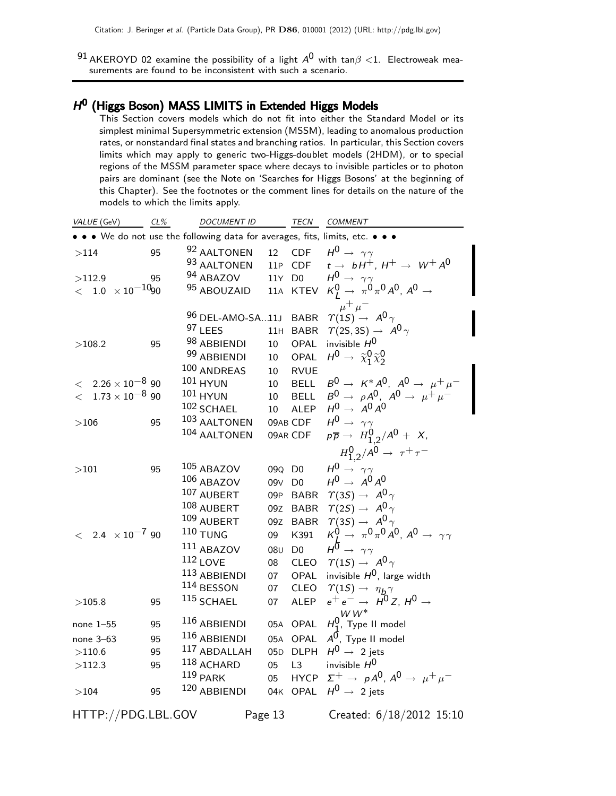$^{91}$ AKEROYD 02 examine the possibility of a light  $A^0$  with tan $\beta <$ 1. Electroweak measurements are found to be inconsistent with such a scenario.

#### $H^0$  (Higgs Boson) MASS LIMITS in Extended Higgs Models

This Section covers models which do not fit into either the Standard Model or its simplest minimal Supersymmetric extension (MSSM), leading to anomalous production rates, or nonstandard final states and branching ratios. In particular, this Section covers limits which may apply to generic two-Higgs-doublet models (2HDM), or to special regions of the MSSM parameter space where decays to invisible particles or to photon pairs are dominant (see the Note on 'Searches for Higgs Bosons' at the beginning of this Chapter). See the footnotes or the comment lines for details on the nature of the models to which the limits apply.

| VALUE (GeV)                     | $CL\%$ | <b>DOCUMENT ID</b>                                                          |                 | TECN           | COMMENT                                                                                    |
|---------------------------------|--------|-----------------------------------------------------------------------------|-----------------|----------------|--------------------------------------------------------------------------------------------|
|                                 |        | • • We do not use the following data for averages, fits, limits, etc. • • • |                 |                |                                                                                            |
| >114                            | 95     | 92 AALTONEN                                                                 | 12              |                | CDF $H^0 \rightarrow \gamma \gamma$                                                        |
|                                 |        | 93 AALTONEN                                                                 |                 | 11P CDF        | $t \rightarrow bH^+, H^+ \rightarrow W^+A^0$                                               |
| >112.9                          | 95     | $94$ ABAZOV                                                                 |                 | 11Y D0         |                                                                                            |
| $<$ 1.0 $\times$ 10 $^{-10}$ 90 |        | 95 ABOUZAID                                                                 | 11A             | KTEV           | $H^0 \rightarrow \gamma \gamma$<br>$K_I^0 \rightarrow \pi^0 \pi^0 A^0$ , $A^0 \rightarrow$ |
|                                 |        |                                                                             |                 |                |                                                                                            |
|                                 |        | <sup>96</sup> DEL-AMO-SA11J                                                 |                 | <b>BABR</b>    | $\overline{\upmu^+ \upmu^-}$<br>$\Upsilon(15) \rightarrow A^0 \gamma$                      |
|                                 |        | 97 LEES                                                                     | 11H             | <b>BABR</b>    | $\Upsilon(2S, 3S) \rightarrow A^0 \gamma$                                                  |
| >108.2                          | 95     | 98 ABBIENDI                                                                 | 10              | OPAL           | invisible $H^0$                                                                            |
|                                 |        | 99 ABBIENDI                                                                 | 10              | OPAL           | $H^0 \rightarrow \tilde{\chi}_1^0 \tilde{\chi}_2^0$                                        |
|                                 |        | 100 ANDREAS                                                                 | 10              | <b>RVUE</b>    |                                                                                            |
| $< 2.26 \times 10^{-8}$ 90      |        | <b>101 HYUN</b>                                                             | 10              | <b>BELL</b>    | $B^0 \rightarrow K^*A^0$ , $A^0 \rightarrow \mu^+\mu^-$                                    |
| $<$ $~1.73\times 10^{-8}$ 90    |        | 101 HYUN                                                                    | 10              | <b>BELL</b>    |                                                                                            |
|                                 |        | 102 SCHAEL                                                                  | 10              | ALEP           | $B^0 \rightarrow \rho A^0$ , $A^0 \rightarrow \mu^+ \mu^-$<br>$H^0 \rightarrow A^0 A^0$    |
| >106                            | 95     | 103 AALTONEN                                                                |                 | 09AB CDF       | $H^0 \rightarrow \gamma \gamma$                                                            |
|                                 |        | 104 AALTONEN                                                                |                 | 09AR CDF       | $p\overline{p} \rightarrow H_{1,2}^0/A^0 + X,$                                             |
|                                 |        |                                                                             |                 |                | $H_{1,2}^0/A^0 \to \tau^+ \tau^-$                                                          |
| >101                            | 95     | 105 ABAZOV                                                                  |                 | 09Q D0         | $H^0 \rightarrow \gamma \gamma$                                                            |
|                                 |        | 106 ABAZOV                                                                  | 09 <sub>V</sub> | D <sub>0</sub> | $H^0 \rightarrow A^0 A^0$                                                                  |
|                                 |        | 107 AUBERT                                                                  | 09P             | <b>BABR</b>    | $\gamma(35) \rightarrow A^0 \gamma$                                                        |
|                                 |        | 108 AUBERT                                                                  | 09Z             | <b>BABR</b>    | $\Upsilon(2S) \rightarrow A^0 \gamma$                                                      |
|                                 |        | 109 AUBERT                                                                  | 09Z             | <b>BABR</b>    | $\gamma(35) \rightarrow A^0 \gamma$                                                        |
| $<$ 2.4 $\times 10^{-7}$ 90     |        | $110$ TUNG                                                                  | 09              | K391           | $K^0$ $\rightarrow \pi^0 \pi^0 A^0$ , $A^0 \rightarrow \gamma \gamma$                      |
|                                 |        | $^{111}$ ABAZOV                                                             | 08 <sub>U</sub> | D <sub>0</sub> | $H^{\overline{0}} \rightarrow \gamma \gamma$                                               |
|                                 |        | $112$ LOVE                                                                  | 08              | <b>CLEO</b>    | $\Upsilon(1S) \rightarrow A^0 \gamma$                                                      |
|                                 |        | 113 ABBIENDI                                                                | 07              | OPAL           | invisible $H^0$ , large width                                                              |
|                                 |        | 114 BESSON                                                                  | 07              | <b>CLEO</b>    | $\gamma(1S) \rightarrow \eta_b \gamma$                                                     |
| >105.8                          | 95     | $115$ SCHAEL                                                                | 07              | <b>ALEP</b>    | $e^+e^- \rightarrow H^0 Z, H^0 \rightarrow$                                                |
|                                 |        |                                                                             |                 |                | $W\,W^*$                                                                                   |
| none 1–55                       | 95     | 116 ABBIENDI                                                                |                 | 05A OPAL       | $H_1^0$ , Type II model                                                                    |
| none 3-63                       | 95     | 116 ABBIENDI                                                                |                 | 05A OPAL       | $A^{\overline{0}}$ , Type II model                                                         |
| >110.6                          | 95     | 117 ABDALLAH                                                                |                 | 05D DLPH       | $H^0 \rightarrow 2$ jets                                                                   |
| >112.3                          | 95     | 118 ACHARD                                                                  | 05              | L3             | invisible $H^0$                                                                            |
|                                 |        | $119$ PARK                                                                  | 05              | <b>HYCP</b>    | $\Sigma^+$ $\rightarrow$ pA <sup>0</sup> , A <sup>0</sup> $\rightarrow$ $\mu^+ \mu^-$      |
| >104                            | 95     | 120 ABBIENDI                                                                |                 | 04K OPAL       | $H^0 \rightarrow 2$ jets                                                                   |
| HTTP://PDG.LBL.GOV              |        |                                                                             | Page 13         |                | Created: 6/18/2012 15:10                                                                   |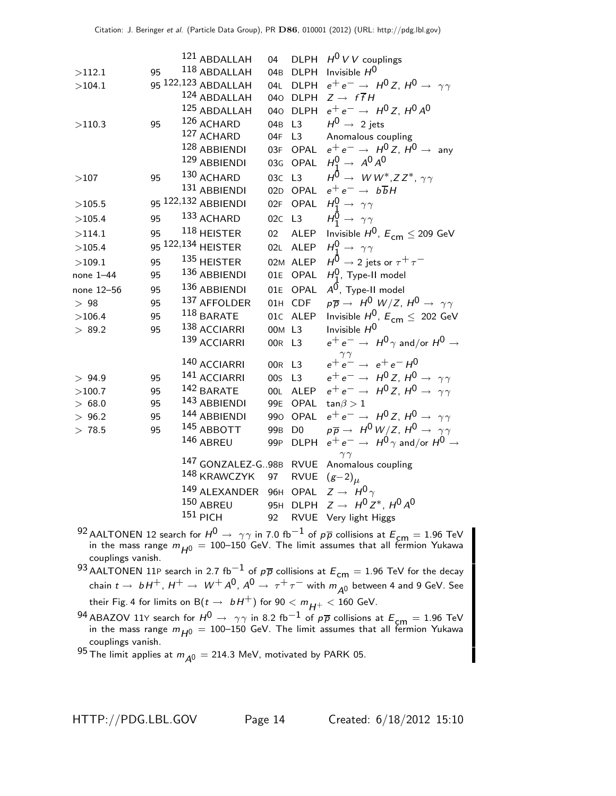|            |    | 121 ABDALLAH        | 04              | <b>DLPH</b>    | $H^0$ V V couplings                                                   |
|------------|----|---------------------|-----------------|----------------|-----------------------------------------------------------------------|
| >112.1     | 95 | $^{118}$ ABDALLAH   | 04 <sub>B</sub> | <b>DLPH</b>    | Invisible $H^0$                                                       |
| >104.1     |    | 95 122,123 ABDALLAH | 04L             | <b>DLPH</b>    | $e^+e^- \rightarrow H^0 Z, H^0 \rightarrow \gamma \gamma$             |
|            |    | 124 ABDALLAH        | 040             | <b>DLPH</b>    | $Z \rightarrow f \overline{f} H$                                      |
|            |    | 125 ABDALLAH        | 040             | <b>DLPH</b>    | $e^+e^- \rightarrow H^0 Z$ , $H^0 A^0$                                |
| >110.3     | 95 | 126 ACHARD          | 04 <sub>B</sub> | L <sub>3</sub> | $H^0 \rightarrow 2$ jets                                              |
|            |    | 127 ACHARD          | 04F             | L <sub>3</sub> | Anomalous coupling                                                    |
|            |    | 128 ABBIENDI        |                 | 03F OPAL       | $e^+e^- \rightarrow H^0 Z$ , $H^0 \rightarrow$ any                    |
|            |    | 129 ABBIENDI        |                 | 03G OPAL       | $H_1^0 \rightarrow A^0 A^0$                                           |
| >107       | 95 | 130 ACHARD          | 03C L3          |                | $H^{\bar{0}} \rightarrow W W^*$ , Z Z <sup>*</sup> , $\gamma \gamma$  |
|            |    | 131 ABBIENDI        |                 | 02D OPAL       | $e^+e^- \rightarrow b\overline{b}H$                                   |
| >105.5     |    | 95 122,132 ABBIENDI | 02F             | <b>OPAL</b>    | $H_1^0 \rightarrow \gamma \gamma$                                     |
| >105.4     | 95 | 133 ACHARD          | 02C             | L3             | $H_1^0 \rightarrow \gamma \gamma$                                     |
| >114.1     | 95 | 118 HEISTER         | 02 <sub>2</sub> | <b>ALEP</b>    | Invisible $H^0$ , $E_{cm} \leq 209$ GeV                               |
| >105.4     |    | 95 122,134 HEISTER  | 02L             | <b>ALEP</b>    | $H_1^0 \rightarrow \gamma \gamma$                                     |
| >109.1     | 95 | 135 HEISTER         |                 | 02M ALEP       | $H^0 \rightarrow$ 2 jets or $\tau^+ \tau^-$                           |
| none 1-44  | 95 | 136 ABBIENDI        | 01E             | OPAL           | $H_1^0$ , Type-II model                                               |
| none 12-56 | 95 | 136 ABBIENDI        | 01E             | <b>OPAL</b>    | $A^0$ , Type-II model                                                 |
| $>~98$     | 95 | 137 AFFOLDER        |                 | 01H CDF        | $p\overline{p} \rightarrow H^0 W/Z$ , $H^0 \rightarrow \gamma \gamma$ |
| >106.4     | 95 | $118$ BARATE        |                 | 01C ALEP       | Invisible $H^0$ , $E_{cm} \leq 202$ GeV                               |
| > 89.2     | 95 | 138 ACCIARRI        |                 | 00M L3         | Invisible $H^0$                                                       |
|            |    | 139 ACCIARRI        | 00R L3          |                | $e^+e^- \rightarrow H^0 \gamma$ and/or $H^0 \rightarrow$              |
|            |    | 140 ACCIARRI        | 00R L3          |                | $\gamma\, \gamma$<br>$e^+e^- \rightarrow e^+e^-H^0$                   |
| > 94.9     | 95 | 141 ACCIARRI        | 00 <sub>S</sub> | L <sub>3</sub> | $e^+e^- \rightarrow H^0 Z$ , $H^0 \rightarrow \gamma \gamma$          |
| >100.7     | 95 | 142 BARATE          | 00L             | <b>ALEP</b>    | $e^+e^- \rightarrow H^0 Z$ , $H^0 \rightarrow \gamma \gamma$          |
| > 68.0     | 95 | 143 ABBIENDI        | 99E             | <b>OPAL</b>    | $tan \beta > 1$                                                       |
| > 96.2     | 95 | 144 ABBIENDI        | 990             | OPAL           | $e^+e^- \rightarrow H^0 Z$ , $H^0 \rightarrow \gamma \gamma$          |
| > 78.5     | 95 | 145 ABBOTT          | 99 <sub>B</sub> | D <sub>0</sub> | $p\overline{p} \rightarrow H^0 W/Z$ , $H^0 \rightarrow \gamma \gamma$ |
|            |    | 146 ABREU           | 99 <sub>P</sub> | <b>DLPH</b>    | $e^+e^- \rightarrow H^0 \gamma$ and/or $H^0 \rightarrow$              |
|            |    | 147 GONZALEZ-G98B   |                 | <b>RVUE</b>    | $\gamma\gamma$<br>Anomalous coupling                                  |
|            |    | 148 KRAWCZYK        | 97              | <b>RVUE</b>    | $(g-2)_{\mu}$                                                         |
|            |    | 149 ALEXANDER       |                 | 96H OPAL       | $Z \rightarrow H^0 \gamma$                                            |
|            |    | 150 ABREU           | 95H             | <b>DLPH</b>    | $Z \rightarrow H^0 Z^*$ , $H^0 A^0$                                   |
|            |    | $151$ PICH          | 92              | <b>RVUE</b>    | Very light Higgs                                                      |
|            |    |                     |                 |                |                                                                       |

- 92 AALTONEN 12 search for  $H^0 \rightarrow \gamma \gamma$  in 7.0 fb $^{-1}$  of p $\overline{p}$  collisions at  $E_{\textsf{cm}}=1.96$  TeV in the mass range  $m_{H^0} = 100$ –150 GeV. The limit assumes that all fermion Yukawa couplings vanish.
- $^{93}$  AALTONEN 11P search in 2.7 fb $^{-1}$  of  $p\overline{p}$  collisions at  $E_{\mathsf{cm}}=1.96$  TeV for the decay chain  $t\to\,\,bH^+$ ,  $H^+\to\,\,W^+\,A^0$ ,  $A^0\to\,\tau^+\,\tau^-$  with  $m_{\cal A^0}$  between 4 and 9 GeV. See their Fig. 4 for limits on  $B(t \to bH^+)$  for  $90 < m_{H^+} < 160$  GeV.
- $^{94}$  ABAZOV 11Y search for  $H^0 \rightarrow$   $\gamma\gamma$  in 8.2 fb $^{-1}$  of p $\overline{p}$  collisions at  $E_{\textsf{cm}}=1.96$  TeV in the mass range  $m_{H^0} = 100$ –150 GeV. The limit assumes that all fermion Yukawa couplings vanish.

95 The limit applies at  $m_{A^0} = 214.3$  MeV, motivated by PARK 05.

HTTP://PDG.LBL.GOV Page 14 Created: 6/18/2012 15:10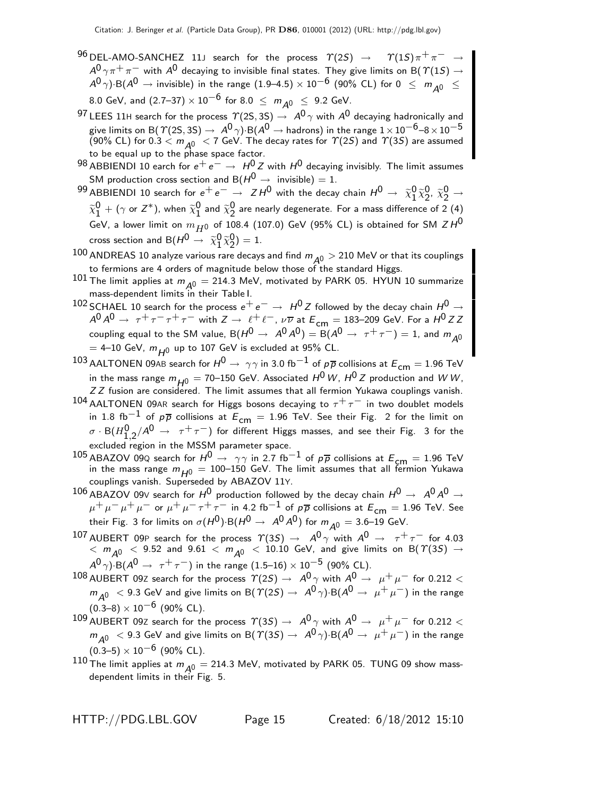- $^{96}$  DEL-AMO-SANCHEZ 11J search for the process  $\gamma(2S) \rightarrow \gamma(1S)\pi^{+}\pi^{-}$  $A^{0}\gamma\pi^{+}\pi^{-}$  with  $A^{0}$  decaying to invisible final states. They give limits on B(  $\varUpsilon(1S)\rightarrow$  $A^0 \gamma$ )·B( $A^0 \rightarrow$  invisible) in the range (1.9–4.5) × 10<sup>-6</sup> (90% CL) for 0  $\leq m_{A0} \leq$ 8.0 GeV, and  $(2.7-37) \times 10^{-6}$  for  $8.0 \le m_{A0} \le 9.2$  GeV.
- 97 LEES 11H search for the process  $\Upsilon(2S, 3S) \rightarrow A^0 \gamma$  with  $A^0$  decaying hadronically and give limits on B(  $\mathcal{T}(2\mathsf{S},3\mathsf{S})\to\ A^0\,\gamma) \mathsf{\cdot B}(A^0\to\textsf{hadrons})$  in the range  $1\times10^{-6}$ –8  $\times\,10^{-5}$ (90% CL) for 0.3  $\lt m_{A0}$   $\lt 7$  GeV. The decay rates for  $\gamma$ (2S) and  $\gamma$ (3S) are assumed to be equal up to the phase space factor.
- 98 ABBIENDI 10 earch for  $e^+e^-$  →  $H^0Z$  with  $H^0$  decaying invisibly. The limit assumes SM production cross section and B( $H^0 \rightarrow$  invisible) = 1.
- $^{99}$  ABBIENDI 10 search for  $e^+e^-\rightarrow~ZH^0$  with the decay chain  $H^0\rightarrow~\widetilde{\chi}^0_1$  $\begin{smallmatrix} 0 & \widetilde{\chi}^0_2 \ 1 & \widetilde{\chi}^0_2 \end{smallmatrix}$  $2^0$ ,  $\tilde{\chi}_2^0 \rightarrow$  $\widetilde{\chi}_1^0$  $\frac{0}{1}$  + ( $\gamma$  or  $Z^*$ ), when  $\widetilde{\chi}^0_1$  $\frac{0}{1}$  and  $\widetilde{\chi}_{2}^{0}$ 2 are nearly degenerate. For a mass difference of 2 (4) GeV, a lower limit on  $m_{H0}$  of 108.4 (107.0) GeV (95% CL) is obtained for SM  $ZH^0$ cross section and B $(H^0 \rightarrow \ \widetilde{\chi}^0_1)$  $\begin{smallmatrix} 0 & \widetilde{\chi}^0_2 \ 1 & \widetilde{\chi}^0_2 \end{smallmatrix}$  $_{2}^{0}) = 1.$
- $100$  ANDREAS 10 analyze various rare decays and find  $m_{A0} > 210$  MeV or that its couplings to fermions are 4 orders of magnitude below those of the standard Higgs.
- $101$  The limit applies at  $m_{A0} = 214.3$  MeV, motivated by PARK 05. HYUN 10 summarize mass-dependent limits in their Table I.
- 102 SCHAEL 10 search for the process  $e^+e^-$  →  $H^0Z$  followed by the decay chain  $H^0 \rightarrow$  $A^0 A^0 \rightarrow \tau^+ \tau^- \tau^+ \tau^-$  with  $Z \rightarrow \ell^+ \ell^-$ ,  $\nu \overline{\nu}$  at  $E_{cm} = 183-209$  GeV. For a  $H^0 ZZ$ coupling equal to the SM value,  $B(H^0 \to A^0 A^0) = B(A^0 \to \tau^+ \tau^-) = 1$ , and  $m_{A^0}$  $=$  4–10 GeV,  $m_{H0}$  up to 107 GeV is excluded at 95% CL.
- 103 AALTONEN 09AB search for  $H^0 \to \gamma \gamma$  in 3.0 fb<sup>-1</sup> of  $p\overline{p}$  collisions at  $E_{cm} = 1.96$  TeV in the mass range  $m_{H0} = 70$ –150 GeV. Associated  $H^0 W$ ,  $H^0 Z$  production and W W, ZZ fusion are considered. The limit assumes that all fermion Yukawa couplings vanish.
- 104 AALTONEN 09AR search for Higgs bosons decaying to  $\tau^+\tau^-$  in two doublet models in 1.8 fb<sup>-1</sup> of  $p\overline{p}$  collisions at  $E_{cm} = 1.96$  TeV. See their Fig. 2 for the limit on  $\sigma \cdot {\sf B}(H_{1,2}^{\sf 0}/A^{\sf 0} \to~\tau^+\tau^-)$  for different Higgs masses, and see their Fig.  $\,$  3 for the excluded region in the MSSM parameter space.
- 105 ABAZOV 09Q search for  $H^0 \rightarrow \gamma \gamma$  in 2.7 fb<sup>-1</sup> of  $p\overline{p}$  collisions at  $E_{cm} = 1.96$  TeV in the mass range  $m_{H0} = 100$ –150 GeV. The limit assumes that all fermion Yukawa couplings vanish. Superseded by ABAZOV 11Y.
- 106 ABAZOV 09V search for  $H^0$  production followed by the decay chain  $H^0 \rightarrow A^0 A^0 \rightarrow$  $\mu^+ \mu^- \mu^+ \mu^-$  or  $\mu^+ \mu^- \tau^+ \tau^-$  in 4.2 fb<sup>-1</sup> of  $p\overline{p}$  collisions at  $E_{cm} = 1.96$  TeV. See their Fig. 3 for limits on  $\sigma(H^0)$ ·B $(H^0 \rightarrow A^0 A^0)$  for  $m_{A^0} = 3.6$ –19 GeV.
- 107 AUBERT 09P search for the process  $\gamma(35) \rightarrow A^0 \gamma$  with  $A^0 \rightarrow \tau^+ \tau^-$  for 4.03  $<$   $m_{\tilde{A}^0}$   $<$  9.52 and 9.61  $<$   $m_{\tilde{A}^0}$   $<$  10.10 GeV, and give limits on B(  $\gamma$ (3S)  $\rightarrow$  $A^{0}\gamma$ )·B( $A^{0} \rightarrow \tau^{+}\tau^{-}$ ) in the range (1.5–16) × 10<sup>-5</sup> (90% CL).
- $^{108}$  AUBERT 09Z search for the process  $\varUpsilon(2S) \to \; A^0 \, \gamma$  with  $A^0 \to \; \mu^+ \, \mu^-$  for 0.212  $<$  $m_{A^0}$  < 9.3 GeV and give limits on B( $\Upsilon(2S) \rightarrow A^0 \gamma$ )·B( $A^0 \rightarrow \mu^+ \mu^-$ ) in the range  $(0.3-8) \times 10^{-6}$  (90% CL).
- $^{109}$  AUBERT 09Z search for the process  $\varUpsilon(3S) \to \; A^0 \, \gamma$  with  $A^0 \to \; \mu^+ \, \mu^-$  for 0.212  $<$  $m_{\tilde{A}^0}$  < 9.3 GeV and give limits on B(  $\tilde{\tau}(3S) \rightarrow A^0 \gamma$ )·B( $A^0 \rightarrow \mu^+ \mu^-$ ) in the range  $(0.3-5) \times 10^{-6}$  (90% CL).
- $110$  The limit applies at  $m_{\overline{A}0} = 214.3$  MeV, motivated by PARK 05. TUNG 09 show massdependent limits in their Fig. 5.

HTTP://PDG.LBL.GOV Page 15 Created: 6/18/2012 15:10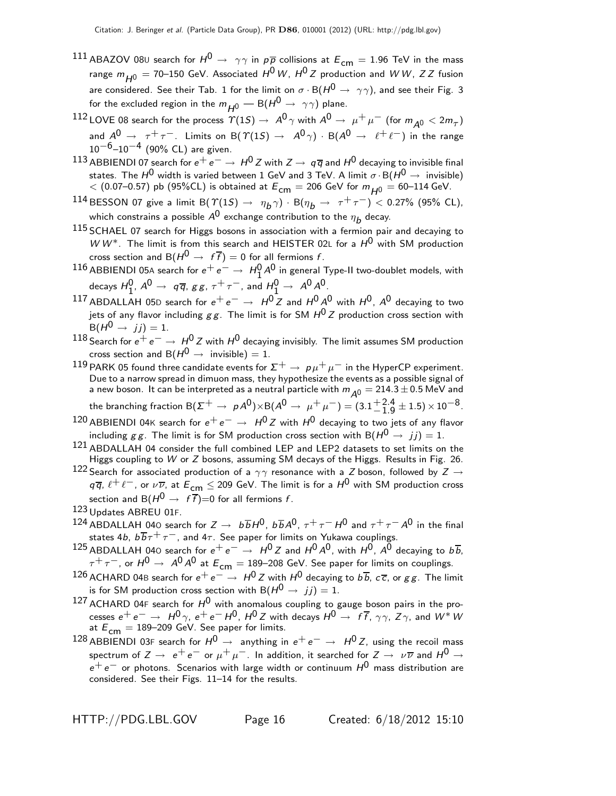- 111 ABAZOV 08U search for  $H^0 \rightarrow \gamma \gamma$  in  $p\overline{p}$  collisions at  $E_{cm} = 1.96$  TeV in the mass range  $m_{\mu 0} = 70$ –150 GeV. Associated  $H^0 W$ ,  $H^0 Z$  production and W W, Z Z fusion are considered. See their Tab. 1 for the limit on  $\sigma \cdot B(H^0 \to \gamma \gamma)$ , and see their Fig. 3 for the excluded region in the  $m_{H0}$  – B( $H^0 \rightarrow \gamma \gamma$ ) plane.
- $^{112}$  LOVE 08 search for the process  $\varUpsilon(1S) \to A^0 \, \gamma$  with  $A^0 \to \mu^+ \, \mu^-$  (for  $m_{\cal \bar A^0} < 2 m_{\cal \tau})$ and  $A^0 \rightarrow \tau^+ \tau^-$ . Limits on B( $\Upsilon(1S) \rightarrow A^0 \gamma$ ) · B( $A^0 \rightarrow \ell^+ \ell^-$ ) in the range  $10^{-6}$ – $10^{-4}$  (90% CL) are given.
- 113 ABBIENDI 07 search for  $e^+e^-\rightarrow H^0Z$  with  $Z\rightarrow q\overline{q}$  and  $H^0$  decaying to invisible final states. The  $H^0$  width is varied between 1 GeV and 3 TeV. A limit  $\sigma \cdot B(H^0 \to \text{invisible})$  $<$  (0.07–0.57) pb (95%CL) is obtained at  $E^{}_{\mathsf{cm}}=$  206 GeV for  $m^{}_{H0}=$  60–114 GeV.
- $^{114}$  BESSON 07 give a limit B(  $\varUpsilon(1S) \to~\eta_{\pmb{D}} \gamma)\cdot$  B( $\eta_{\pmb{D}} \to~\tau^+ \tau^-) <$  0.27% (95% CL), which constrains a possible  $A^{\mathsf{0}}$  exchange contribution to the  $\eta_{\bm{b}}$  decay.
- $115$  SCHAEL 07 search for Higgs bosons in association with a fermion pair and decaying to  $WW^*$ . The limit is from this search and HEISTER 02L for a  $H^0$  with SM production cross section and B( $H^0 \rightarrow f\bar{f}$ ) = 0 for all fermions f.
- 116 ABBIENDI 05A search for  $e^+e^-\rightarrow H_1^0A^0$  in general Type-II two-doublet models, with decays  $H_1^0$ ,  $A^0 \rightarrow q\overline{q}$ ,  $gg$ ,  $\tau^+\tau^-$ , and  $H_1^0 \rightarrow A^0A^0$ .
- 117 ABDALLAH 05D search for  $e^+e^- \rightarrow H^0 Z$  and  $H^0 A^0$  with  $H^0$ ,  $A^0$  decaying to two jets of any flavor including  $gg$ . The limit is for SM  $H^{0}Z$  production cross section with  $B(H^0 \rightarrow i\,i) = 1.$
- 118 Search for  $e^+e^-$  →  $H^0Z$  with  $H^0$  decaying invisibly. The limit assumes SM production cross section and B( $H^0 \rightarrow$  invisible) = 1.
- 119 PARK 05 found three candidate events for  $\Sigma^+ \to p\mu^+\mu^-$  in the HyperCP experiment. Due to a narrow spread in dimuon mass, they hypothesize the events as a possible signal of a new boson. It can be interpreted as a neutral particle with  $m_{\tilde{\cal A}0} = 214.3 \pm 0.5$  MeV and the branching fraction B $(\Sigma^+ \to \rho A^0) \times$ B $(A^0 \to \mu^+ \mu^-) = (3.1 {+ 2.4 \atop - 1.0})$  $^{+2.4}_{-1.9}$   $\pm$  1.5)  $\times$  10 $^{-8}$ .
- 120 ABBIENDI 04K search for  $e^+e^- \rightarrow H^0 Z$  with  $H^0$  decaying to two jets of any flavor including g g. The limit is for SM production cross section with B( $H^0 \rightarrow i\dot{j}$ ) = 1.
- 121 ABDALLAH 04 consider the full combined LEP and LEP2 datasets to set limits on the Higgs coupling to W or Z bosons, assuming SM decays of the Higgs. Results in Fig. 26.
- 122 Search for associated production of a  $\gamma\gamma$  resonance with a Z boson, followed by Z  $\rightarrow$  $q\overline{q}$ ,  $\ell^+\ell^-$ , or  $\nu\overline{\nu}$ , at  $E_{\mathsf{cm}}\leq$  209 GeV. The limit is for a  $H^0$  with SM production cross section and B( $H^0 \rightarrow f\overline{f}$ )=0 for all fermions f.
- 123 Updates ABREU 01F.
- 124 ABDALLAH 040 search for  $Z \to b\overline{b}H^0$ ,  $b\overline{b}A^0$ ,  $\tau^+\tau^-H^0$  and  $\tau^+\tau^-A^0$  in the final states 4b,  $b \, \overline{b} \, \tau^+ \, \tau^-$ , and 4 $\tau$ . See paper for limits on Yukawa couplings.
- 125 ABDALLAH 040 search for  $e^+e^- \rightarrow H^0 Z$  and  $H^0 A^0$ , with  $H^0$ ,  $A^0$  decaying to  $b\overline{b}$ ,  $\tau^+\tau^-$ , or  $H^0\to A^0A^0$  at  $E_{\text{cm}}=189$ –208 GeV. See paper for limits on couplings.
- $^{126}$  ACHARD 04B search for  $e^+ \, e^- \to \, H^0 \, Z$  with  $H^0$  decaying to  $b \, \overline{b},\, c \, \overline{c},\,$  or  $g \, g$ . The limit is for SM production cross section with B $(H^0\rightarrow\ jj)=1.$
- 127 ACHARD 04F search for  $H^0$  with anomalous coupling to gauge boson pairs in the processes  $e^+e^- \to H^0 \gamma$ ,  $e^+e^- H^0$ ,  $H^0 Z$  with decays  $H^0 \to f\bar{f}$ ,  $\gamma\gamma$ ,  $Z\gamma$ , and  $W^* W$ at  $E_{cm} = 189-209$  GeV. See paper for limits.
- 128 ABBIENDI 03F search for  $H^0 \rightarrow$  anything in  $e^+e^- \rightarrow H^0Z$ , using the recoil mass spectrum of  $Z \to e^+e^-$  or  $\mu^+\mu^-$ . In addition, it searched for  $Z \to \nu\overline{\nu}$  and  $H^0 \to$  $e^+ \, e^-$  or photons. Scenarios with large width or continuum  $H^0$  mass distribution are considered. See their Figs. 11–14 for the results.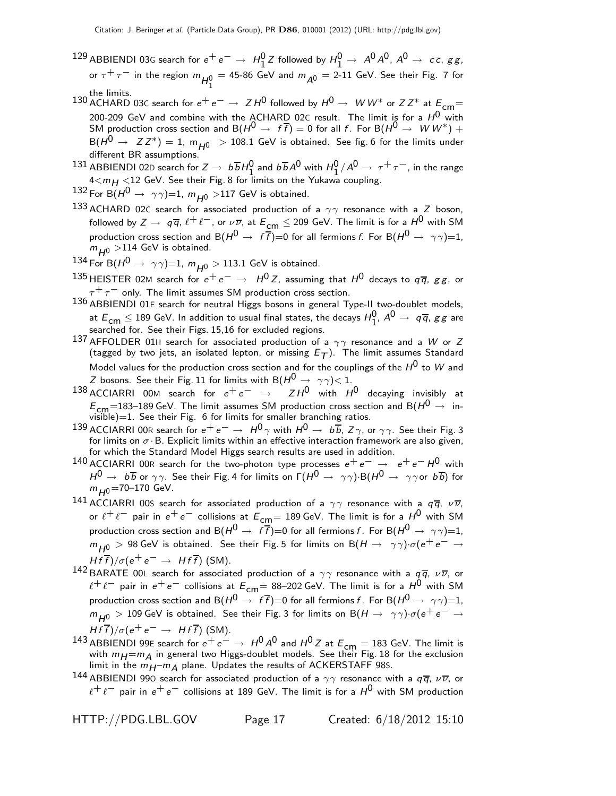- $^{129}$  ABBIENDI 03G search for  $e^+e^-\to\ H^0_1Z$  followed by  $H^0_1\to\ A^0A^0$ ,  $A^0\to\ c\overline{\epsilon}$ , g g, or  $\tau^+\,\tau^-$  in the region  $m_{\overline{H_1^0}}=$  45-86 GeV and  $m_{\overline{A^0}}=$  2-11 GeV. See their Fig. 7 for the limits.<br>130 ACHARD 03C search for e<sup>+</sup> e<sup>−</sup> → Z H<sup>0</sup> followed by H<sup>0</sup> → W W\* or Z Z\* at E<sub>cm</sub>=
- 200-209 GeV and combine with the ACHARD 02C result. The limit is for a  $H^{\mathsf{0}}$  with SM production cross section and  $B(H^0 \to f\bar{f}) = 0$  for all f. For  $B(H^0 \to W W^*) +$  $B(H^0 \rightarrow Z Z^*) = 1$ ,  $m_{H^0} > 108.1$  GeV is obtained. See fig. 6 for the limits under different BR assumptions.
- 131 ABBIENDI 02D search for  $Z \to b\overline{b}H_1^0$  and  $b\overline{b}A^0$  with  $H_1^0/A^0 \to \tau^+\tau^-$ , in the range  $4 < m_H < 12$  GeV. See their Fig. 8 for limits on the Yukawa coupling.
- 132 For B $(H^0 \rightarrow \gamma \gamma)=1$ ,  $m_{H^0} >$ 117 GeV is obtained.
- 133 ACHARD 02C search for associated production of a  $\gamma\gamma$  resonance with a Z boson, followed by  $Z \to q \overline{q}$ ,  $\ell^+ \ell^-$ , or  $\nu \overline{\nu}$ , at  $E_{cm} \leq 209$  GeV. The limit is for a  $H^0$  with SM production cross section and B( $H^0 \rightarrow f \overline{f} = 0$  for all fermions f. For B( $H^0 \rightarrow \gamma \gamma$ )=1,  $m_{H0}$  >114 GeV is obtained.
- 134 For B( $H^0 \rightarrow \gamma \gamma$ )=1,  $m_{H^0} > 113.1$  GeV is obtained.
- 135 HEISTER 02M search for  $e^+e^- \rightarrow H^0 Z$ , assuming that  $H^0$  decays to  $q\bar{q}$ , gg, or  $\tau^+\tau^-$  only. The limit assumes SM production cross section.
- 136 ABBIENDI 01E search for neutral Higgs bosons in general Type-II two-doublet models, at  $E_{\text{cm}} \leq 189$  GeV. In addition to usual final states, the decays  $H_1^0$ ,  $A^0 \rightarrow q\overline{q}$ ,  $gg$  are searched for. See their Figs. 15,16 for excluded regions.
- 137 AFFOLDER 01H search for associated production of a  $\gamma\gamma$  resonance and a W or Z (tagged by two jets, an isolated lepton, or missing  $E_T$ ). The limit assumes Standard Model values for the production cross section and for the couplings of the  $H^0$  to  $W$  and Z bosons. See their Fig. 11 for limits with  $B(H^0 \rightarrow \gamma \gamma)$  < 1.
- 138 ACCIARRI 00M search for  $e^+e^- \rightarrow ZH^0$  with  $H^0$  decaying invisibly at  $E_{\text{cm}}$ =183–189 GeV. The limit assumes SM production cross section and B( $H^0 \rightarrow \text{ in}-$ visible)=1. See their Fig. 6 for limits for smaller branching ratios.
- 139 ACCIARRI 00R search for  $e^+e^- \to H^0\gamma$  with  $H^0 \to b\overline{b}$ ,  $Z\gamma$ , or  $\gamma\gamma$ . See their Fig. 3 for limits on  $\sigma \cdot$ B. Explicit limits within an effective interaction framework are also given, for which the Standard Model Higgs search results are used in addition.
- 140 ACCIARRI 00R search for the two-photon type processes  $e^+e^- \rightarrow e^+e^-H^0$  with  $H^0\to~b\overline b$  or  $\gamma\gamma$ . See their Fig. 4 for limits on  $\Gamma(H^0\to~\gamma\gamma)$ ·B $(H^0\to~\gamma\gamma$ or  $b\overline b)$  for  $m_{H0}$ =70–170 GeV.
- 141 ACCIARRI 00S search for associated production of a  $\gamma\gamma$  resonance with a  $q\overline{q}$ ,  $\nu\overline{\nu}$ , or  $\ell^+\ell^-$  pair in  $e^+e^-$  collisions at  $E_{cm}=$  189 GeV. The limit is for a  $H^0$  with SM production cross section and B $(H^0 \to f\bar{f})=0$  for all fermions f. For B $(H^0 \to \gamma\gamma)=1$ ,  $m_{H0}$  > 98 GeV is obtained. See their Fig. 5 for limits on B $(H \to \gamma \gamma) \cdot \sigma(e^+ e^- \to e^-)$  $H f \overline{f}$ )/ $\sigma$ ( $e^+ e^- \rightarrow H f \overline{f}$ ) (SM).
- 142 BARATE 00L search for associated production of a  $\gamma\gamma$  resonance with a  $q\overline{q}$ ,  $\nu\overline{\nu}$ , or  $\ell^+ \ell^-$  pair in  $e^+ e^-$  collisions at  $E_{cm}$ = 88–202 GeV. The limit is for a  $H^0$  with SM production cross section and B( $H^0 \rightarrow f\bar{f}$ )=0 for all fermions f. For B( $H^0 \rightarrow \gamma \gamma$ )=1,  $m_{H0} > 109$  GeV is obtained. See their Fig. 3 for limits on B $(H \to \gamma \gamma) \cdot \sigma(e^+ e^- \to e^- e^-)$  $H f \overline{f}$ )/ $\sigma$ ( $e^+ e^- \rightarrow H f \overline{f}$ ) (SM).
- 143 ABBIENDI 99E search for  $e^+e^-\to\,H^0\,A^0$  and  $H^0\,Z$  at  $E_{\mathsf{cm}}=183$  GeV. The limit is with  $m_H = m_A$  in general two Higgs-doublet models. See their Fig. 18 for the exclusion limit in the  $m<sub>H</sub>$ – $m<sub>A</sub>$  plane. Updates the results of ACKERSTAFF 985.
- 144 ABBIENDI 990 search for associated production of a  $\gamma\gamma$  resonance with a  $q\overline{q}$ ,  $\nu\overline{\nu}$ , or  $\ell^+ \ell^-$  pair in  $e^+ e^-$  collisions at 189 GeV. The limit is for a  $H^0$  with SM production

HTTP://PDG.LBL.GOV Page 17 Created: 6/18/2012 15:10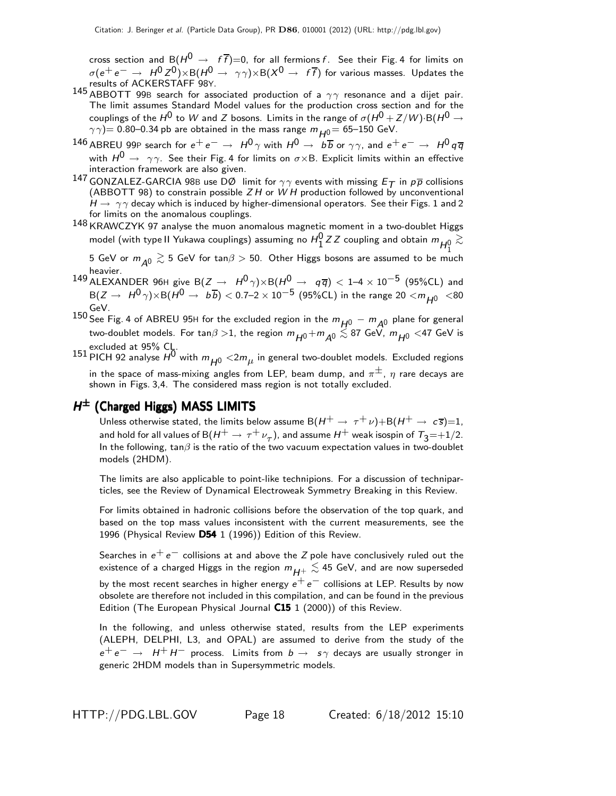cross section and B $(H^0 \rightarrow f\bar{f})=0$ , for all fermions f. See their Fig. 4 for limits on  $\sigma(\mathrm{e^+ e^-} \to\ H^0 Z^0){\times} \mathrm{B}(H^0 \to\ \gamma\gamma){\times}\mathrm{B}(X^0 \to\ f\overline{f})$  for various masses. Updates the results of ACKERSTAFF 98Y.

- 145 ABBOTT 99B search for associated production of a  $\gamma\gamma$  resonance and a dijet pair. The limit assumes Standard Model values for the production cross section and for the couplings of the  $H^0$  to W and Z bosons. Limits in the range of  $\sigma(H^0 + Z/W)$ ·B $(H^0 \rightarrow$  $\gamma\gamma$ )= 0.80–0.34 pb are obtained in the mass range  $m_{H0}$ = 65–150 GeV.
- 146 ABREU 99P search for  $e^+e^- \to H^0\gamma$  with  $H^0 \to b\overline{b}$  or  $\gamma\gamma$ , and  $e^+e^- \to H^0q\overline{q}$ with  $H^0 \rightarrow \gamma \gamma$ . See their Fig. 4 for limits on  $\sigma \times B$ . Explicit limits within an effective interaction framework are also given.
- 147 GONZALEZ-GARCIA 98B use DØ limit for  $\gamma\gamma$  events with missing  $E_{\mathcal{T}}$  in  $p\overline{p}$  collisions (ABBOTT 98) to constrain possible  $ZH$  or  $WH$  production followed by unconventional  $H \rightarrow \gamma \gamma$  decay which is induced by higher-dimensional operators. See their Figs. 1 and 2 for limits on the anomalous couplings.
- $148$  KRAWCZYK 97 analyse the muon anomalous magnetic moment in a two-doublet Higgs model (with type II Yukawa couplings) assuming no  $H_1^0$  Z Z coupling and obtain  $m_{\overline{H_1^0}} \gtrsim$

 $5$  GeV or  $m_{\mathcal{A}^0} \gtrsim 5$  GeV for tan $\beta > 50$ . Other Higgs bosons are assumed to be much heavier.

149 ALEXANDER 96H give B $(Z \to H^0 \gamma) \times B(H^0 \to q \overline{q}) < 1-4 \times 10^{-5}$  (95%CL) and B(Z →  $H^0$   $\gamma$ )×B( $H^0$  →  $b\overline{b}$ ) < 0.7–2 × 10 $^{-5}$  (95%CL) in the range 20 < $m_{\overline{H^0}}$  <80 GeV.

150 See Fig. 4 of ABREU 95H for the excluded region in the  $m_{H^0} - m_{A^0}$  plane for general two-doublet models. For  $\tan\!\beta > 1$ , the region  $m_{H^0} + m_{A^0} \lesssim 87$  GeV,  $m_{H^0} <$  47 GeV is

excluded at 95% CL.<br>151 PICH 92 analyse  $H^0$  with  $m_{H^0} <$  2 $m_{\mu}$  in general two-doublet models. Excluded regions in the space of mass-mixing angles from LEP, beam dump, and  $\pi^{\pm}$ ,  $\eta$  rare decays are shown in Figs. 3,4. The considered mass region is not totally excluded.

#### $H^{\pm}$  (Charged Higgs) MASS LIMITS

Unless otherwise stated, the limits below assume  $B(H^+ \to \tau^+ \nu) + B(H^+ \to c \overline{s}) = 1$ , and hold for all values of B $(H^+ \to \tau^+ \nu_\tau)$ , and assume  $H^+$  weak isospin of  $\tau_3{=}{+}1/2$ . In the following, tan $\beta$  is the ratio of the two vacuum expectation values in two-doublet models (2HDM).

The limits are also applicable to point-like technipions. For a discussion of techniparticles, see the Review of Dynamical Electroweak Symmetry Breaking in this Review.

For limits obtained in hadronic collisions before the observation of the top quark, and based on the top mass values inconsistent with the current measurements, see the 1996 (Physical Review D54 1 (1996)) Edition of this Review.

Searches in  $e^+e^-$  collisions at and above the Z pole have conclusively ruled out the existence of a charged Higgs in the region  $m_{H^+}\lesssim$  45 GeV, and are now superseded by the most recent searches in higher energy  $e^+ e^-$  collisions at LEP. Results by now obsolete are therefore not included in this compilation, and can be found in the previous Edition (The European Physical Journal C15 1 (2000)) of this Review.

In the following, and unless otherwise stated, results from the LEP experiments (ALEPH, DELPHI, L3, and OPAL) are assumed to derive from the study of the  $e^+e^- \rightarrow H^+H^-$  process. Limits from  $b \rightarrow s \gamma$  decays are usually stronger in generic 2HDM models than in Supersymmetric models.

HTTP://PDG.LBL.GOV Page 18 Created: 6/18/2012 15:10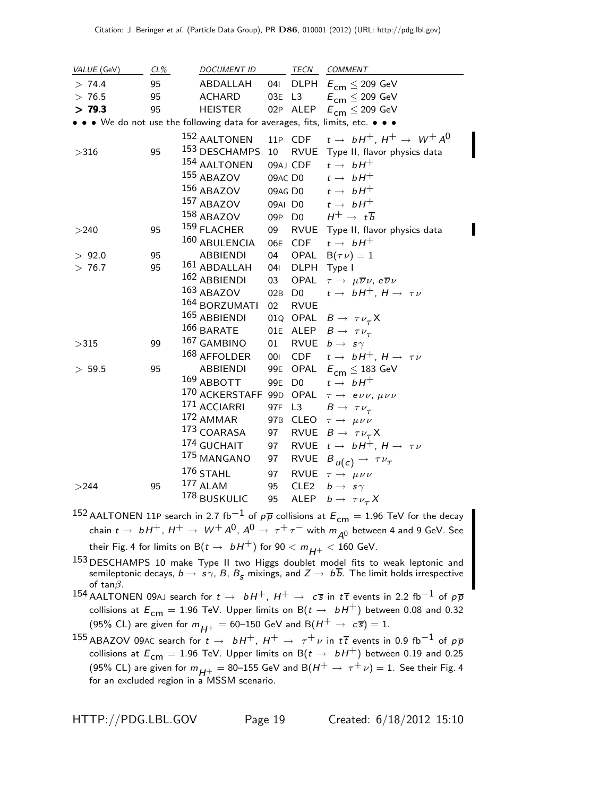| VALUE (GeV) | CL% | <b>DOCUMENT ID</b>                                                            |        | TECN             | COMMENT                                                            |
|-------------|-----|-------------------------------------------------------------------------------|--------|------------------|--------------------------------------------------------------------|
| > 74.4      | 95  | ABDALLAH                                                                      | 041    |                  | DLPH $E_{\text{cm}} \leq 209 \text{ GeV}$                          |
| > 76.5      | 95  | <b>ACHARD</b>                                                                 | 03E L3 |                  | $E_{\text{cm}} \leq 209 \text{ GeV}$                               |
| > 79.3      | 95  | <b>HEISTER</b>                                                                |        | 02P ALEP         | $E^{}_{\rm cm} \le 209~\, {\rm GeV}$                               |
|             |     | • • • We do not use the following data for averages, fits, limits, etc. • • • |        |                  |                                                                    |
|             |     | <sup>152</sup> AALTONEN                                                       |        |                  | 11P CDF $t \rightarrow bH^+$ , $H^+ \rightarrow W^+ A^0$           |
| >316        | 95  | 153 DESCHAMPS 10                                                              |        |                  | RVUE Type II, flavor physics data                                  |
|             |     | 154 AALTONEN                                                                  |        | 09AJ CDF         | $t \rightarrow bH^+$                                               |
|             |     | 155 ABAZOV                                                                    |        | 09AC DO          | $t \rightarrow bH^+$                                               |
|             |     | 156 ABAZOV                                                                    |        |                  | 09AG D0 $t \rightarrow bH^+$                                       |
|             |     | 157 ABAZOV                                                                    |        |                  | 09AI D0 $t \rightarrow bH^+$                                       |
|             |     | 158 ABAZOV                                                                    | 09P D0 |                  | $H^+ \rightarrow t\overline{b}$                                    |
| >240        | 95  | 159 FLACHER                                                                   | 09     | RVUE             | Type II, flavor physics data                                       |
|             |     | 160 ABULENCIA                                                                 | 06E    | CDF              | $t \rightarrow bH^+$                                               |
| > 92.0      | 95  | <b>ABBIENDI</b>                                                               | 04     | OPAL             | $B(\tau \nu) = 1$                                                  |
| > 76.7      | 95  | $161$ ABDALLAH                                                                | 041    | <b>DLPH</b>      | Type I                                                             |
|             |     | 162 ABBIENDI                                                                  | 03     | OPAL             | $\tau \rightarrow \mu \overline{\nu} \nu$ , e $\overline{\nu} \nu$ |
|             |     | 163 ABAZOV                                                                    | 02B D0 |                  | $t \rightarrow bH^+, H \rightarrow \tau \nu$                       |
|             |     | <sup>164</sup> BORZUMATI                                                      | 02     | <b>RVUE</b>      |                                                                    |
|             |     | 165 ABBIENDI                                                                  |        |                  | 01Q OPAL $B \rightarrow \tau \nu_{\tau} X$                         |
|             |     | $166$ BARATE                                                                  |        |                  | 01E ALEP $B \rightarrow \tau \nu_{\tau}$                           |
| >315        | 99  | 167 GAMBINO                                                                   | 01     |                  | RVUE $b \rightarrow s \gamma$                                      |
|             |     | $168$ AFFOLDER                                                                | 001    |                  | CDF $t \rightarrow bH^+$ , $H \rightarrow \tau \nu$                |
| > 59.5      | 95  | <b>ABBIENDI</b>                                                               |        |                  | 99E OPAL $E_{cm} \leq 183$ GeV                                     |
|             |     | $169$ ABBOTT                                                                  | 99E    | D <sub>0</sub>   | $t \rightarrow bH^+$                                               |
|             |     | 170 ACKERSTAFF 99D OPAL $\tau \rightarrow e \nu \nu$ , $\mu \nu \nu$          |        |                  |                                                                    |
|             |     | 171 ACCIARRI                                                                  | 97F L3 |                  | $B \rightarrow \tau \nu_{\tau}$                                    |
|             |     | $172$ AMMAR                                                                   |        |                  | 97B CLEO $\tau \rightarrow \mu \nu \nu$                            |
|             |     | $173$ COARASA                                                                 | 97     |                  | RVUE $B \rightarrow \tau \nu_{\tau} X$                             |
|             |     | 174 GUCHAIT                                                                   | 97     |                  | RVUE $t \rightarrow bH^+$ , $H \rightarrow \tau \nu$               |
|             |     | 175 MANGANO                                                                   | 97     |                  | RVUE $B_{u(c)} \rightarrow \tau \nu_{\tau}$                        |
|             |     | 176 STAHL                                                                     | 97     |                  | RVUE $\tau \rightarrow \mu \nu \nu$                                |
| >244        | 95  | 177 ALAM                                                                      | 95     | CLE <sub>2</sub> | $b \rightarrow s \gamma$                                           |
|             |     | 178 BUSKULIC                                                                  | 95     |                  | ALEP $b \rightarrow \tau \nu_{\tau} X$                             |

- 152 AALTONEN 11P search in 2.7 fb $^{-1}$  of  $p\overline{p}$  collisions at  $E_{cm} = 1.96$  TeV for the decay chain  $t \to b H^+$ ,  $H^+ \to W^+ A^0$ ,  $A^0 \to \tau^+ \tau^-$  with  $m_{A^0}$  between 4 and 9 GeV. See their Fig. 4 for limits on  $B(t \to bH^+)$  for  $90 < m_{H^+} < 160$  GeV.
- <sup>153</sup> DESCHAMPS 10 make Type II two Higgs doublet model fits to weak leptonic and semileptonic decays,  $b\to s\gamma$ ,  $B$ ,  $B_{\bm{s}}$  mixings, and  $Z\to~b\overline{b}$ . The limit holds irrespective of tan $\beta$ .
- 154 AALTONEN 09AJ search for  $t \to bH^+$ ,  $H^+ \to c\bar{s}$  in  $t\bar{t}$  events in 2.2 fb<sup>-1</sup> of  $p\bar{p}$ collisions at  $E_{cm} = 1.96$  TeV. Upper limits on B( $t \rightarrow bH^{+}$ ) between 0.08 and 0.32 (95% CL) are given for  $m_{H^+} = 60$ –150 GeV and B $(H^+ \rightarrow c\bar{s}) = 1$ .
- 155 ABAZOV 09AC search for  $t \to bH^+$ ,  $H^+ \to \tau^+\nu$  in  $t\bar{t}$  events in 0.9 fb<sup>-1</sup> of  $p\bar{p}$ collisions at  $E_{cm} = 1.96$  TeV. Upper limits on B( $t \rightarrow bH^{+}$ ) between 0.19 and 0.25 (95% CL) are given for  $m_{H^+} = 80$ –155 GeV and B $(H^+ \rightarrow \tau^+ \nu) = 1$ . See their Fig. 4 for an excluded region in a MSSM scenario.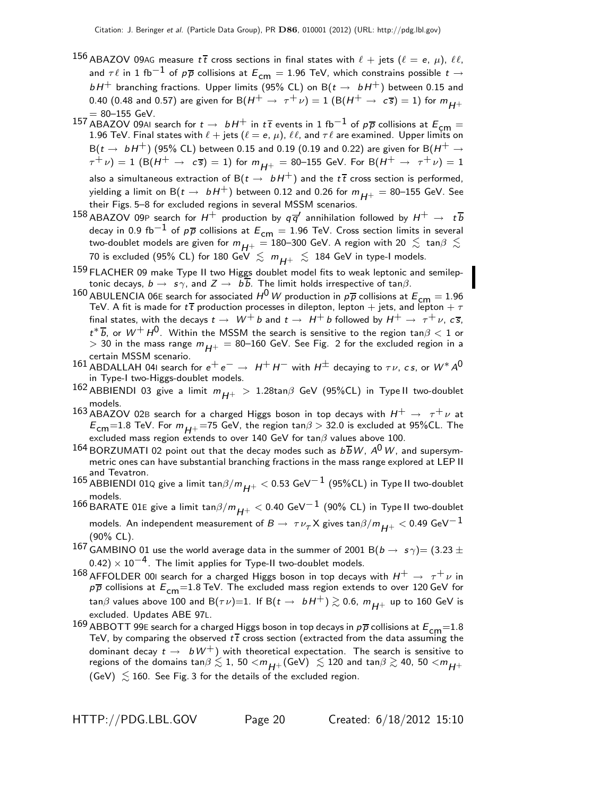- 156 ABAZOV 09AG measure  $t\bar{t}$  cross sections in final states with  $\ell$  + jets ( $\ell = e, \mu$ ),  $\ell\ell$ , and  $\tau \ell$  in 1 fb $^{-1}$  of  $p\overline{p}$  collisions at  $E_{cm} = 1.96$  TeV, which constrains possible  $t \rightarrow$  $b$  H $^+$  branching fractions. Upper limits (95% CL) on B( $t\to\ bH^+$ ) between 0.15 and 0.40 (0.48 and 0.57) are given for B $(H^+ \rightarrow \tau^+ \nu) = 1$   $(B(H^+ \rightarrow c\overline{s}) = 1)$  for  $m_{H^+}$  $= 80 - 155$  GeV.
- 157 ABAZOV 09AI search for  $t \to bH^+$  in  $t\bar{t}$  events in 1 fb<sup>-1</sup> of  $p\bar{p}$  collisions at  $E_{cm} =$ 1.96 TeV. Final states with  $\ell$  + jets  $(\ell = e, \mu)$ ,  $\ell\ell$ , and  $\tau\ell$  are examined. Upper limits on  $B(t \rightarrow bH^+)$  (95% CL) between 0.15 and 0.19 (0.19 and 0.22) are given for B( $H^+ \rightarrow$  $\tau^+ \nu$ ) = 1 (B(H<sup>+</sup>  $\rightarrow c\bar{s}$ ) = 1) for  $m_{H^+}$  = 80–155 GeV. For B(H<sup>+</sup>  $\rightarrow \tau^+ \nu$ ) = 1 also a simultaneous extraction of B $(t \to bH^+)$  and the  $t\bar{t}$  cross section is performed, yielding a limit on B( $t \to bH^+$ ) between 0.12 and 0.26 for  $m_{H^+} = 80$ –155 GeV. See their Figs. 5–8 for excluded regions in several MSSM scenarios.
- $^{158}$  ABAZOV 09P search for  $H^+$  production by  $q \, \overline{q}^\prime$  annihilation followed by  $H^+ \,\rightarrow\,\, t \, \overline{b}$ decay in 0.9 fb<sup>-1</sup> of  $p\overline{p}$  collisions at  $E_{cm} = 1.96$  TeV. Cross section limits in several two-doublet models are given for  $m_{H+} = 180-300$  GeV. A region with 20  $\lesssim \tan\beta \lesssim \frac{1}{2}$ 70 is excluded (95% CL) for 180 GeV  $~\lesssim~m_{H^+}~\lesssim~$  184 GeV in type-I models.
- 159 FLACHER 09 make Type II two Higgs doublet model fits to weak leptonic and semileptonic decays,  $b \to s\gamma$ , and  $Z \to b\overline{b}$ . The limit holds irrespective of tan $\beta$ .
- 160 ABULENCIA 06E search for associated  $H^0$  W production in  $p\overline{p}$  collisions at  $E_{cm} = 1.96$ TeV. A fit is made for  $t\bar{t}$  production processes in dilepton, lepton + jets, and lepton +  $\tau$ final states, with the decays  $t \to W^+ b$  and  $t \to H^+ b$  followed by  $H^+ \to \tau^+ \nu$ ,  $c\bar{s}$ ,  $t^*\overline{b}$ , or  $W^+ \, H^0$ . Within the MSSM the search is sensitive to the region tan $\beta < 1$  or  $>$  30 in the mass range  $m_{H^+}$   $=$  80–160 GeV. See Fig. 2 for the excluded region in a certain MSSM scenario.
- 161 ABDALLAH 04I search for  $e^+e^- \rightarrow H^+H^-$  with  $H^{\pm}$  decaying to  $\tau \nu$ , cs, or  $W^* A^0$ in Type-I two-Higgs-doublet models.
- 162 ABBIENDI 03 give a limit  $m_{H+} > 1.28$ tan $\beta$  GeV (95%CL) in Type II two-doublet models.
- 163 ABAZOV 02B search for a charged Higgs boson in top decays with  $H^+ \rightarrow \tau^+ \nu$  at  $E_{\text{cm}}$ =1.8 TeV. For  $m_{H+}$ =75 GeV, the region tan $\beta$  > 32.0 is excluded at 95%CL. The excluded mass region extends to over 140 GeV for tan $\beta$  values above 100.
- 164 BORZUMATI 02 point out that the decay modes such as  $b\overline{b}W$ ,  $A^0W$ , and supersymmetric ones can have substantial branching fractions in the mass range explored at LEP II and Tevatron.
- 165 ABBIENDI 01Q give a limit tan $\beta/m_{H^+}$  < 0.53 GeV<sup>-1</sup> (95%CL) in Type II two-doublet models.
- 166 BARATE 01E give a limit tan $\beta/m_{H^+}$  < 0.40 GeV<sup>-1</sup> (90% CL) in Type II two-doublet models. An independent measurement of  $B\to~\tau \nu_\tau$ X gives tan $\beta/m_{\bm{H}+} <$  0.49 GeV $^{-1}$ (90% CL).
- 167 GAMBINO 01 use the world average data in the summer of 2001 B $(b \rightarrow s \gamma) = (3.23 \pm$  $(0.42) \times 10^{-4}$ . The limit applies for Type-II two-doublet models.
- $^{168}$  AFFOLDER 00I search for a charged Higgs boson in top decays with  $H^+ \rightarrow \tau^+ \nu$  in  $p\overline{p}$  collisions at  $E_{cm}$ =1.8 TeV. The excluded mass region extends to over 120 GeV for tan $\beta$  values above 100 and B $(\tau \nu)$ =1. If B $(t \to bH^+) \gtrsim$  0.6,  $m_{H^+}$  up to 160 GeV is excluded. Updates ABE 97L.
- $^{169}$  ABBOTT 99E search for a charged Higgs boson in top decays in  $p\overline{p}$  collisions at  $E_{\mathsf{cm}}{=}1.8$ TeV, by comparing the observed  $t\bar{t}$  cross section (extracted from the data assuming the dominant decay  $t \to bW^+$ ) with theoretical expectation. The search is sensitive to regions of the domains tan $\beta\lesssim1$ , 50  $<$   $m_{H^+}$ (GeV)  $~\lesssim$  120 and tan $\beta\gtrsim$  40, 50  $<$   $m_{H^+}$ (GeV)  $\lesssim$  160. See Fig. 3 for the details of the excluded region.

HTTP://PDG.LBL.GOV Page 20 Created: 6/18/2012 15:10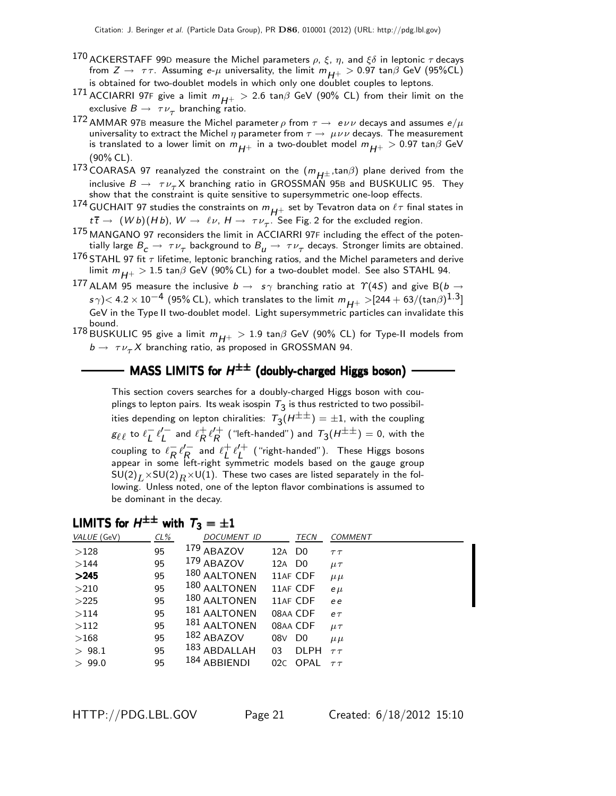- 170 ACKERSTAFF 99D measure the Michel parameters  $\rho$ ,  $\xi$ ,  $\eta$ , and  $\xi\delta$  in leptonic  $\tau$  decays from  $Z \to \tau \tau$ . Assuming e- $\mu$  universality, the limit  $m_{H^+} > 0.97 \tan \beta$  GeV (95%CL) is obtained for two-doublet models in which only one doublet couples to leptons.
- 171 ACCIARRI 97F give a limit  $m_{H^+} > 2.6$  tan $\beta$  GeV (90% CL) from their limit on the exclusive  $B\to \tau\nu_\tau$  branching ratio.
- 172 AMMAR 97B measure the Michel parameter  $\rho$  from  $\tau \to e \nu \nu$  decays and assumes  $e/\mu$ universality to extract the Michel  $\eta$  parameter from  $\tau \to \mu \nu \nu$  decays. The measurement is translated to a lower limit on  $m_{H+}$  in a two-doublet model  $m_{H+} > 0.97$  tan $\beta$  GeV (90% CL).
- 173 COARASA 97 reanalyzed the constraint on the  $(m_{H^{\pm}}$ ,tan $\beta)$  plane derived from the inclusive  $B \to \tau \nu_\tau X$  branching ratio in GROSSMAN 95B and BUSKULIC 95. They show that the constraint is quite sensitive to supersymmetric one-loop effects.
- 174 GUCHAIT 97 studies the constraints on  $m_{H^+}$  set by Tevatron data on  $\ell\tau$  final states in  $t\bar{t} \to (Wb)(Hb)$ ,  $W \to \ell \nu$ ,  $H \to \tau \nu_{\tau}$ . See Fig. 2 for the excluded region.
- 175 MANGANO 97 reconsiders the limit in ACCIARRI 97<sup>F</sup> including the effect of the potentially large  $B_{\cal C}\to~\tau\nu_\tau$  background to  $B_{\cal U}\to~\tau\nu_\tau$  decays. Stronger limits are obtained.
- 176 STAHL 97 fit  $\tau$  lifetime, leptonic branching ratios, and the Michel parameters and derive limit  $m_{H+} > 1.5$  tan $\beta$  GeV (90% CL) for a two-doublet model. See also STAHL 94.
- 177 ALAM 95 measure the inclusive  $b\to\ s\gamma$  branching ratio at  $\varUpsilon(4S)$  and give B( $b\to$  $\sigma s \gamma$ )< 4.2  $\times$  10 $^{-4}$  (95% CL), which translates to the limit  $m_{H^+} >$ [244 + 63/(tan $\beta$ ) $^{1.3}$ ] GeV in the Type II two-doublet model. Light supersymmetric particles can invalidate this
- bound.<br><sup>178</sup> BUSKULIC 95 give a limit  $m_{H^+} > 1.9 \tan\!\beta$  GeV (90% CL) for Type-II models from  $b \rightarrow \tau \nu_{\tau} X$  branching ratio, as proposed in GROSSMAN 94.

#### MASS LIMITS for  $H^{\pm\pm}$  (doubly-charged Higgs boson)

This section covers searches for a doubly-charged Higgs boson with couplings to lepton pairs. Its weak isospin  $\tau_3$  is thus restricted to two possibilities depending on lepton chiralities:  $\tau_3(H^{\pm\pm})=\pm 1$ , with the coupling  $g_{\ell\ell}$  to  $\ell_L^ \bar{L} \ell'_L$  $L'$  and  $\ell_R^+$  $R^+ \ell_R^{\prime +}$  $\mathcal{T}_R^{\mathcal{H}}$  ("left-handed") and  $\mathcal{T}_3(H^{\pm\pm})=$  0, with the coupling to  $\ell_{\mathbf{p}}^ R \, \ell_R^{\prime -}$  $\frac{R}{R_c}$  and  $\ell_L^+$  $\frac{1}{L}$   $\ell_L^{\prime +}$  $\begin{pmatrix} \begin{smallmatrix} \mathsf{L} \mathsf{L} \end{smallmatrix} \end{pmatrix}$  ("right-handed"). These Higgs bosons appear in some left-right symmetric models based on the gauge group  $\mathsf{SU}(2)_L \times \mathsf{SU}(2)_R \times \mathsf{U}(1)$ . These two cases are listed separately in the following. Unless noted, one of the lepton flavor combinations is assumed to be dominant in the decay.

# LIMITS for  $H^{\pm\pm}$  with  $T_3=\pm 1$

| VALUE (GeV) | $CL\%$ | <b>DOCUMENT ID</b> |                    | <b>TECN</b> | <b>COMMENT</b> |
|-------------|--------|--------------------|--------------------|-------------|----------------|
| >128        | 95     | 179 ABAZOV         | 12A D <sub>0</sub> |             | $\tau\tau$     |
| >144        | 95     | 179 ABAZOV         | 12A D <sub>0</sub> |             | $\mu\tau$      |
| >245        | 95     | 180 AALTONEN       |                    | 11AF CDF    | $\mu\mu$       |
| >210        | 95     | 180 AALTONEN       |                    | 11AF CDF    | $e \mu$        |
| >225        | 95     | 180 AALTONEN       |                    | 11AF CDF    | e e            |
| >114        | 95     | 181 AALTONEN       |                    | 08AA CDF    | $e\tau$        |
| >112        | 95     | 181 AALTONEN       |                    | 08AA CDF    | $\mu\tau$      |
| >168        | 95     | 182 ABAZOV         | 08V                | D0          | $\mu \mu$      |
| > 98.1      | 95     | 183 ABDALLAH       | 03                 | <b>DLPH</b> | $\tau\tau$     |
| > 99.0      | 95     | 184 ABBIENDI       | 02C                | OPAL        | $\tau\tau$     |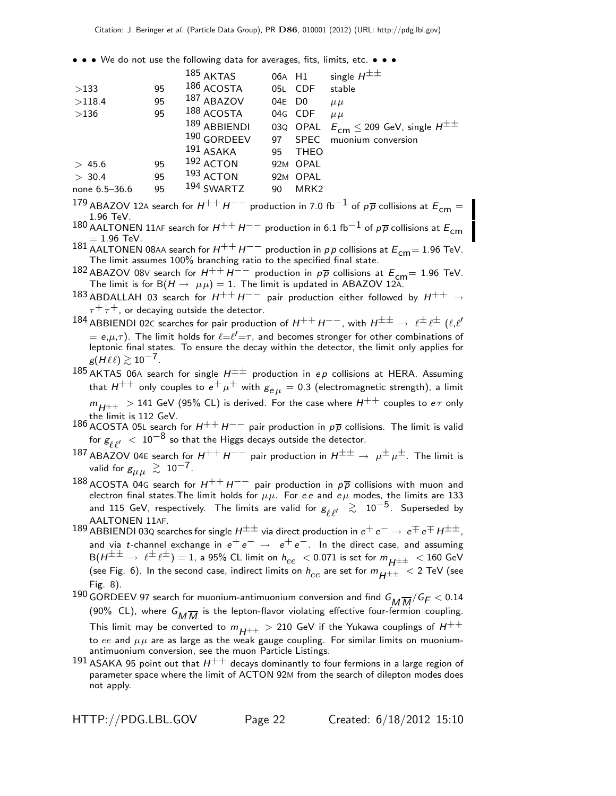• • • We do not use the following data for averages, fits, limits, etc. • • •

|    | $185$ AKTAS |                                                                                                                                    |                  | single $H^{\pm\pm}$                                                    |
|----|-------------|------------------------------------------------------------------------------------------------------------------------------------|------------------|------------------------------------------------------------------------|
| 95 |             |                                                                                                                                    | <b>CDF</b>       | stable                                                                 |
| 95 |             |                                                                                                                                    |                  | $\mu \mu$                                                              |
| 95 |             |                                                                                                                                    |                  | $\mu \mu$                                                              |
|    |             |                                                                                                                                    |                  | $E_{\text{cm}} \leq 209$ GeV, single $H^{\pm\pm}$                      |
|    |             | 97                                                                                                                                 | <b>SPEC</b>      | muonium conversion                                                     |
|    |             | 95                                                                                                                                 | <b>THEO</b>      |                                                                        |
| 95 |             |                                                                                                                                    |                  |                                                                        |
| 95 |             |                                                                                                                                    |                  |                                                                        |
| 95 |             | 90                                                                                                                                 | MRK <sub>2</sub> |                                                                        |
|    |             | 186 ACOSTA<br>187 ABAZOV<br>$188$ ACOSTA<br>189 ABBIENDI<br>190 GORDEEV<br>$191$ ASAKA<br>$192$ ACTON<br>$193$ ACTON<br>194 SWARTZ |                  | 06A H1<br>05L<br>04E DO<br>04G CDF<br>03Q OPAL<br>92M OPAL<br>92M OPAL |

179 ABAZOV 12A search for  $H^{++}H^{--}$  production in 7.0 fb<sup>-1</sup> of  $p\overline{p}$  collisions at  $E_{cm} =$ 1.96 TeV.

- 180 AALTONEN 11AF search for  $H^{++}H^{--}$  production in 6.1 fb<sup>-1</sup> of  $p\overline{p}$  collisions at  $E_{cm}$  $= 1.96$  TeV.
- 181 AALTONEN 08AA search for  $H^{++}H^{--}$  production in  $p\overline{p}$  collisions at  $E_{cm} = 1.96$  TeV. The limit assumes 100% branching ratio to the specified final state.
- <sup>182</sup> ABAZOV 08∨ search for  $H^{++}H^{--}$  production in  $p\overline{p}$  collisions at  $E_{cm}$  = 1.96 TeV.<br>The limit is for B( $H \rightarrow \mu\mu$ ) = 1. The limit is updated in ABAZOV 12A.
- 183 ABDALLAH 03 search for  $H^{++}H^{--}$  pair production either followed by  $H^{++} \rightarrow$  $\tau^+ \tau^+$ , or decaying outside the detector.
- $^{184}$  ABBIENDI 02C searches for pair production of  $H^{++}$   $H^{--}$  , with  $H^{\pm\pm} \to~ \ell^{\pm} \ell^{\pm}$   $(\ell,\ell'$  $\tilde{f}=e,\mu,\tau)$ . The limit holds for  $\ell = \ell' = \tau$ , and becomes stronger for other combinations of leptonic final states. To ensure the decay within the detector, the limit only applies for  $g(H\ell\ell) \gtrsim 10^{-7}$ .
- 185 AKTAS 06A search for single  $H^{\pm\pm}$  production in ep collisions at HERA. Assuming that  $H^{++}$  only couples to  $e^+ \mu^+$  with  $g_{e\mu} = 0.3$  (electromagnetic strength), a limit  $m_{H++}$  > 141 GeV (95% CL) is derived. For the case where  $H^{++}$  couples to  $e\tau$  only the limit is 112 GeV.
- 186 ACOSTA 05L search for  $H^{++}H^{--}$  pair production in  $p\overline{p}$  collisions. The limit is valid for  $g_{\ell,\ell'}^{\phantom i'}\ <\ 10^{-8}$  so that the Higgs decays outside the detector.
- 187 ABAZOV 04E search for  $H^{++}H^{--}$  pair production in  $H^{\pm\pm} \to \mu^{\pm} \mu^{\pm}$ . The limit is valid for  $g_{\mu\mu} \, \gtrsim \, 10^{-7}$  .
- 188 ACOSTA 04G search for  $H^{++}H^{--}$  pair production in  $p\overline{p}$  collisions with muon and electron final states. The limit holds for  $\mu\mu$ . For ee and e $\mu$  modes, the limits are 133 and 115 GeV, respectively. The limits are valid for  $g_{\ell,\ell'} \ \gtrsim\ 10^{-5}$ . Superseded by AALTONEN 11AF.
- 189 ABBIENDI 03Q searches for single  $H^{\pm\pm}$  via direct production in  $e^+e^-\rightarrow e^{\mp}e^{\mp}H^{\pm\pm}$ , and via t-channel exchange in  $e^+e^- \rightarrow e^+e^-$ . In the direct case, and assuming  $B(H^{\pm \pm} \rightarrow \ell^{\pm} \ell^{\pm}) = 1$ , a 95% CL limit on  $h_{ee} < 0.071$  is set for  $m_{H^{\pm \pm}} < 160$  GeV (see Fig. 6). In the second case, indirect limits on  $h_{ee}$  are set for  $m_{H\pm\pm}$  < 2 TeV (see Fig. 8).
- 190 GORDEEV 97 search for muonium-antimuonium conversion and find  $G_{M}\overline{M}/G_F < 0.14$ (90% CL), where  $G_{\overline{M}\overline{M}}$  is the lepton-flavor violating effective four-fermion coupling. This limit may be converted to  $m_{H^{++}} > 210$  GeV if the Yukawa couplings of  $H^{++}$ to ee and  $\mu\mu$  are as large as the weak gauge coupling. For similar limits on muoniumantimuonium conversion, see the muon Particle Listings.
- 191 ASAKA 95 point out that  $H^{++}$  decays dominantly to four fermions in a large region of parameter space where the limit of ACTON 92M from the search of dilepton modes does not apply.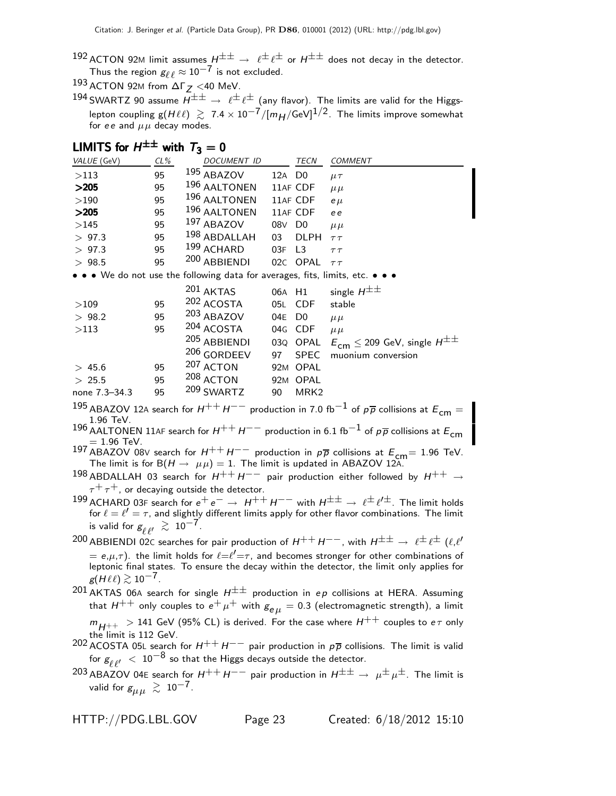- 192 ACTON 92M limit assumes  $H^{\pm\pm} \rightarrow \ell^{\pm}\ell^{\pm}$  or  $H^{\pm\pm}$  does not decay in the detector. Thus the region  $g_{\ell\ell} \approx 10^{-7}$  is not excluded.
- $193$  ACTON 92M from  $\Delta\Gamma$   $<$  <40 MeV.
- 194 SWARTZ 90 assume  $H^{\pm\pm} \rightarrow \ell^{\pm}\ell^{\pm}$  (any flavor). The limits are valid for the Higgslepton coupling g( $H \ell \ell$ )  $\gtrsim 7.4 \times 10^{-7} / [m_H / \text{GeV}]^{1/2}$ . The limits improve somewhat for ee and  $\mu\mu$  decay modes.

# LIMITS for  $H^{\pm\pm}$  with  $T_3=0$

| VALUE (GeV)                                                                                                                          | $CL\%$ | DOCUMENT ID  |                    | TECN             | <b>COMMENT</b>                                    |
|--------------------------------------------------------------------------------------------------------------------------------------|--------|--------------|--------------------|------------------|---------------------------------------------------|
| >113                                                                                                                                 | 95     | 195 ABAZOV   | 12A D <sub>0</sub> |                  | $\mu\tau$                                         |
| >205                                                                                                                                 | 95     | 196 AALTONEN |                    | 11AF CDF         | $\mu \mu$                                         |
| >190                                                                                                                                 | 95     | 196 AALTONEN |                    | 11AF CDF         | $e \mu$                                           |
| >205                                                                                                                                 | 95     | 196 AALTONEN |                    | 11AF CDF         | e e                                               |
| >145                                                                                                                                 | 95     | 197 ABAZOV   | 08V                | D <sub>0</sub>   | $\mu \mu$                                         |
| > 97.3                                                                                                                               | 95     | 198 ABDALLAH | 03                 | <b>DLPH</b>      | $\tau\,\tau$                                      |
| > 97.3                                                                                                                               | 95     | 199 ACHARD   | 03F L3             |                  | $\tau\tau$                                        |
| > 98.5                                                                                                                               | 95     | 200 ABBIENDI |                    | 02C OPAL         | $\tau\,\tau$                                      |
| $\bullet\,\bullet\,\bullet\,$ We do not use the following data for averages, fits, limits, etc. $\bullet\,\bullet\,\bullet\,\bullet$ |        |              |                    |                  |                                                   |
|                                                                                                                                      |        | 201 AKTAS    | 06A H1             |                  | single $H^{\pm\pm}$                               |
| >109                                                                                                                                 | 95     | 202 ACOSTA   |                    | 05L CDF          | stable                                            |
| > 98.2                                                                                                                               | 95     | 203 ABAZOV   | 04E                | D <sub>0</sub>   | $\mu \mu$                                         |
| >113                                                                                                                                 | 95     | 204 ACOSTA   | 04G                | CDF              | $\mu \mu$                                         |
|                                                                                                                                      |        | 205 ABBIENDI |                    | 03Q OPAL         | $E_{\text{cm}} \leq 209$ GeV, single $H^{\pm\pm}$ |
|                                                                                                                                      |        | 206 GORDEEV  | 97                 | <b>SPEC</b>      | muonium conversion                                |
| > 45.6                                                                                                                               | 95     | 207 ACTON    |                    | 92M OPAL         |                                                   |
| > 25.5                                                                                                                               | 95     | 208 ACTON    |                    | 92M OPAL         |                                                   |
| none 7.3–34.3                                                                                                                        | 95     | 209 SWARTZ   | 90                 | MRK <sub>2</sub> |                                                   |

195 ABAZOV 12A search for  $H^{++}H^{--}$  production in 7.0 fb<sup>-1</sup> of  $p\overline{p}$  collisions at  $E_{cm} =$ 1.96 TeV.

196 AALTONEN 11AF search for  $H^{++}H^{--}$  production in 6.1 fb<sup>-1</sup> of  $p\overline{p}$  collisions at  $E_{cm}$  $= 1.96$  TeV.

197 ABAZOV 08V search for  $H^{++}H^{--}$  production in  $p\overline{p}$  collisions at  $E_{cm}$  = 1.96 TeV.<br>The limit is for B( $H \rightarrow \mu\mu$ ) = 1. The limit is updated in ABAZOV 12A.

198 ABDALLAH 03 search for  $H^{++}H^{--}$  pair production either followed by  $H^{++} \rightarrow$  $\tau^+ \tau^+$ , or decaying outside the detector.

- $^{199}$  ACHARD 03F search for  $e^+ \, e^- \to \,$  H $^{++}$  H $^{--}$  with H $^{\pm\pm} \to \, \ell^{\pm} \ell'^{\pm}$ . The limit holds for  $\ell = \ell' = \tau$ , and slightly different limits apply for other flavor combinations. The limit is valid for  $g_{\ell \ell'} \, \gtrsim \, 10^{-7}$ .
- $^{200}$  ABBIENDI 02C searches for pair production of  $H^{++}H^{--}$  , with  $H^{\pm\pm} \to~\ell^{\pm}\ell^{\pm}$   $(\ell,\ell')$  $\tilde{f}=e,\mu,\tau)$ . the limit holds for  $\ell = \ell' = \tau$ , and becomes stronger for other combinations of leptonic final states. To ensure the decay within the detector, the limit only applies for  $g(H\ell\ell) \gtrsim 10^{-7}$ .

 $^{201}$  AKTAS 06A search for single  $H^{\pm\pm}$  production in ep collisions at HERA. Assuming that  $H^{++}$  only couples to  $e^+ \mu^+$  with  $g_{e\mu} = 0.3$  (electromagnetic strength), a limit  $m_{H^{++}}~>$  141 GeV (95% CL) is derived. For the case where  $H^{++}$  couples to  $e\tau$  only the limit is 112 GeV.

202 ACOSTA 05L search for  $H^{++}H^{--}$  pair production in  $p\overline{p}$  collisions. The limit is valid for  $g_{\ell,\ell'}^{\phantom i'}\ <\ 10^{-8}$  so that the Higgs decays outside the detector.

203 ABAZOV 04E search for  $H^{++}H^{--}$  pair production in  $H^{\pm\pm} \rightarrow \mu^{\pm} \mu^{\pm}$ . The limit is valid for  $g_{\mu\mu}~\gtrsim~10^{-7}$  .

HTTP://PDG.LBL.GOV Page 23 Created: 6/18/2012 15:10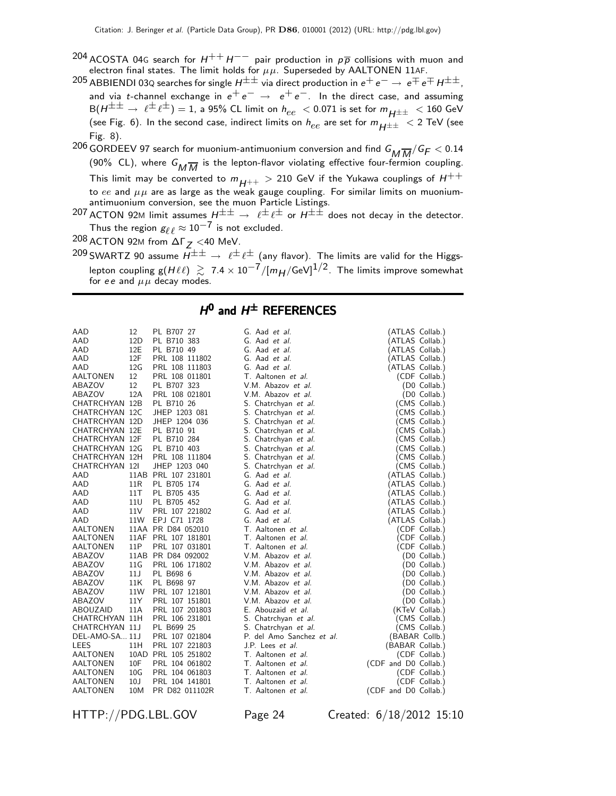- 204 ACOSTA 04G search for  $H^{++}H^{--}$  pair production in  $p\overline{p}$  collisions with muon and electron final states. The limit holds for  $\mu\mu$ . Superseded by AALTONEN 11AF.
- 205 ABBIENDI 03Q searches for single  $H^{\pm\pm}$  via direct production in  $e^+e^-\to e^{\mp}e^{\mp}H^{\pm\pm}$ , and via t-channel exchange in  $e^+e^- \rightarrow e^+e^-$ . In the direct case, and assuming  $B(H^{\pm \pm} \rightarrow \ell^{\pm} \ell^{\pm}) = 1$ , a 95% CL limit on  $h_{ee} < 0.071$  is set for  $m_{H^{\pm \pm}} < 160$  GeV (see Fig. 6). In the second case, indirect limits on  $h_{ee}$  are set for  $m_{H^{\pm\pm}}$  < 2 TeV (see Fig. 8).
- $^{206}$  GORDEEV 97 search for muonium-antimuonium conversion and find  $G_M \overline{M}/G_F < 0.14$ (90% CL), where  $G_{\overline{M}\overline{M}}$  is the lepton-flavor violating effective four-fermion coupling. This limit may be converted to  $m_{H^{++}} > 210$  GeV if the Yukawa couplings of  $H^{++}$ to ee and  $\mu\mu$  are as large as the weak gauge coupling. For similar limits on muoniumantimuonium conversion, see the muon Particle Listings.

207 ACTON 92M limit assumes  $H^{\pm\pm} \rightarrow e^{\pm}e^{\pm}$  or  $H^{\pm\pm}$  does not decay in the detector. Thus the region  $g_{\ell\ell} \approx 10^{-7}$  is not excluded.

 $208$  ACTON 92M from  $\Delta\Gamma_Z$  <40 MeV.

209 SWARTZ 90 assume  $\overline{H^{\pm\pm}} \to \ell^{\pm} \ell^{\pm}$  (any flavor). The limits are valid for the Higgslepton coupling  $g(H\ell\ell) \gtrsim 7.4 \times 10^{-7} / [m_H/\text{GeV}]^{1/2}$ . The limits improve somewhat for ee and  $\mu\mu$  decay modes.

### $H^0$  and  $H^{\pm}$  REFERENCES

| AAD             | 12              | PL B707 27          | G. Aad <i>et al.</i>      | (ATLAS Collab.)      |
|-----------------|-----------------|---------------------|---------------------------|----------------------|
| AAD             | 12D             | PL B710 383         | G. Aad et al.             | (ATLAS Collab.)      |
| <b>AAD</b>      | 12E             | PL B710 49          | G. Aad et al.             | (ATLAS Collab.)      |
| AAD             | 12F             | PRL 108 111802      | G. Aad et al.             | (ATLAS Collab.)      |
| AAD             | 12G             | PRL 108 111803      | G. Aad et al.             | (ATLAS Collab.)      |
| AALTONEN        | 12              | PRL 108 011801      | T. Aaltonen et al.        | (CDF Collab.)        |
| ABAZOV          | 12              | PL B707 323         | V.M. Abazov <i>et al.</i> | (D0 Collab.)         |
| ABAZOV          | 12A             | PRL 108 021801      | V.M. Abazov et al.        | (D0 Collab.)         |
| CHATRCHYAN 12B  |                 | PL B710 26          | S. Chatrchyan et al.      | (CMS Collab.)        |
| CHATRCHYAN 12C  |                 | JHEP 1203 081       | S. Chatrchyan et al.      | (CMS Collab.)        |
| CHATRCHYAN 12D  |                 | JHEP 1204 036       | S. Chatrchyan et al.      | (CMS Collab.)        |
| CHATRCHYAN 12E  |                 | PL B710 91          | S. Chatrchyan et al.      | (CMS Collab.)        |
| CHATRCHYAN 12F  |                 | PL B710 284         | S. Chatrchyan et al.      | (CMS Collab.)        |
| CHATRCHYAN 12G  |                 | PL B710 403         | S. Chatrchyan et al.      | (CMS Collab.)        |
| CHATRCHYAN 12H  |                 | PRL 108 111804      | S. Chatrchyan et al.      | (CMS Collab.)        |
| CHATRCHYAN 12I  |                 | JHEP 1203 040       | S. Chatrchyan et al.      | (CMS Collab.)        |
| AAD             |                 | 11AB PRL 107 231801 | G. Aad et al.             | (ATLAS Collab.)      |
| AAD             | 11 <sub>R</sub> | PL B705 174         | G. Aad et al.             | (ATLAS Collab.)      |
| AAD             | 11 T            | PL B705 435         | G. Aad et al.             | (ATLAS Collab.)      |
| <b>AAD</b>      | 11U             | PL B705 452         | G. Aad et al.             | (ATLAS Collab.)      |
| AAD             | 11 <sub>V</sub> | PRL 107 221802      | G. Aad et al.             | (ATLAS Collab.)      |
| AAD             | 11W             | EPJ C71 1728        | G. Aad et al.             | (ATLAS Collab.)      |
| AALTONEN        |                 | 11AA PR D84 052010  | T. Aaltonen et al.        | (CDF Collab.)        |
| AALTONEN        |                 | 11AF PRL 107 181801 | T. Aaltonen et al.        | (CDF Collab.)        |
| AALTONEN        | 11P             | PRL 107 031801      | T. Aaltonen et al.        | (CDF Collab.)        |
| ABAZOV          |                 | 11AB PR D84 092002  | V.M. Abazov et al.        | (D0 Collab.)         |
| ABAZOV          | 11 <sub>G</sub> | PRL 106 171802      | V.M. Abazov et al.        | (D0 Collab.)         |
| ABAZOV          | 11J             | PL B698 6           | V.M. Abazov et al.        | (D0 Collab.)         |
| ABAZOV          | 11K             | PL B698 97          | V.M. Abazov et al.        | (D0 Collab.)         |
| ABAZOV          | 11W             | PRL 107 121801      | V.M. Abazov et al.        | (D0 Collab.)         |
| ABAZOV          | 11Y             | PRL 107 151801      | V.M. Abazov et al.        | (D0 Collab.)         |
| ABOUZAID        | 11A             | PRL 107 201803      | E. Abouzaid et al.        | (KTeV Collab.)       |
| CHATRCHYAN 11H  |                 | PRL 106 231801      | S. Chatrchyan et al.      | (CMS Collab.)        |
| CHATRCHYAN 11J  |                 | PL B699 25          | S. Chatrchyan et al.      | (CMS Collab.)        |
| DEL-AMO-SA 11J  |                 | PRL 107 021804      | P. del Amo Sanchez et al. | (BABAR Collb.)       |
| LEES            | 11H             | PRL 107 221803      | J.P. Lees et al.          | (BABAR Collab.)      |
| <b>AALTONEN</b> |                 | 10AD PRL 105 251802 | T. Aaltonen et al.        | (CDF Collab.)        |
| AALTONEN        | 10F             | PRL 104 061802      | T. Aaltonen et al.        | (CDF and D0 Collab.) |
| AALTONEN        | 10 <sub>G</sub> | PRL 104 061803      | T. Aaltonen et al.        | (CDF Collab.)        |
| AALTONEN        | 10 <sub>J</sub> | PRL 104 141801      | T. Aaltonen et al.        | (CDF Collab.)        |
| AALTONEN        | 10M             | PR D82 011102R      | T. Aaltonen et al.        | (CDF and D0 Collab.) |

HTTP://PDG.LBL.GOV Page 24 Created: 6/18/2012 15:10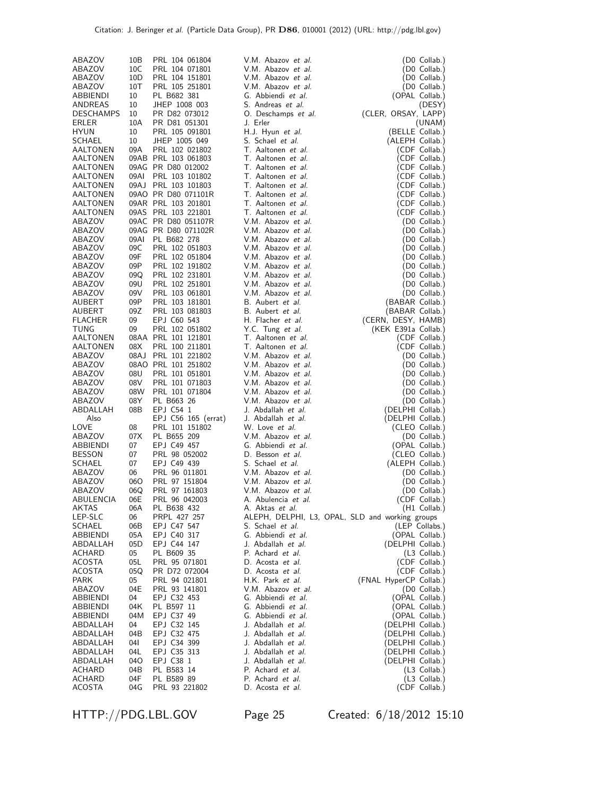| ABAZOV           | 10B             | PRL 104 061804      | V.M. Abazov <i>et al.</i>                       | (D0 Collab.)           |
|------------------|-----------------|---------------------|-------------------------------------------------|------------------------|
| ABAZOV           | 10C             | PRL 104 071801      | V.M. Abazov et al.                              | (D0 Collab.)           |
| ABAZOV           | 10D             | PRL 104 151801      | V.M. Abazov et al.                              | (D0 Collab.)           |
| ABAZOV           | 10T             | PRL 105 251801      | V.M. Abazov et al.                              | (D0 Collab.)           |
| ABBIENDI         | 10              | PL B682 381         | G. Abbiendi et al.                              | (OPAL Collab.)         |
|                  | 10              | JHEP 1008 003       | S. Andreas et al.                               |                        |
| ANDREAS          |                 |                     |                                                 | (DESY)                 |
| <b>DESCHAMPS</b> | 10              | PR D82 073012       | O. Deschamps et al.                             | (CLER, ORSAY, LAPP)    |
| ERLER            | 10A             | PR D81 051301       | J. Erler                                        | (UNAM)                 |
| <b>HYUN</b>      | 10              | PRL 105 091801      | H.J. Hyun et al.                                | (BELLE Collab.)        |
| SCHAEL           | 10              | JHEP 1005 049       | S. Schael et al.                                | (ALEPH Collab.)        |
| AALTONEN         | 09A             | PRL 102 021802      | T. Aaltonen et al.                              | (CDF Collab.)          |
| AALTONEN         |                 | 09AB PRL 103 061803 | T. Aaltonen et al.                              | (CDF Collab.)          |
| AALTONEN         |                 | 09AG PR D80 012002  | T. Aaltonen et al.                              |                        |
|                  |                 |                     |                                                 | (CDF Collab.)          |
| AALTONEN         | 09AI            | PRL 103 101802      | T. Aaltonen et al.                              | (CDF Collab.)          |
| AALTONEN         |                 | 09AJ PRL 103 101803 | T. Aaltonen et al.                              | (CDF Collab.)          |
| AALTONEN         |                 | 09AO PR D80 071101R | T. Aaltonen et al.                              | (CDF Collab.)          |
| AALTONEN         |                 | 09AR PRL 103 201801 | T. Aaltonen et al.                              | (CDF Collab.)          |
| AALTONEN         |                 | 09AS PRL 103 221801 | T. Aaltonen et al.                              | (CDF Collab.)          |
| ABAZOV           |                 | 09AC PR D80 051107R | V.M. Abazov et al.                              | (D0 Collab.)           |
| ABAZOV           |                 | 09AG PR D80 071102R | V.M. Abazov et al.                              | (D0 Collab.)           |
| ABAZOV           | 09AI            | PL B682 278         | V.M. Abazov et al.                              | (D0 Collab.)           |
|                  |                 |                     |                                                 |                        |
| ABAZOV           | 09C             | PRL 102 051803      | V.M. Abazov et al.                              | (D0 Collab.)           |
| ABAZOV           | 09F             | PRL 102 051804      | V.M. Abazov et al.                              | (D0 Collab.)           |
| ABAZOV           | 09P             | PRL 102 191802      | V.M. Abazov et al.                              | (D0 Collab.)           |
| ABAZOV           | 09Q             | PRL 102 231801      | V.M. Abazov et al.                              | (D0 Collab.)           |
| ABAZOV           | 09U             | PRL 102 251801      | V.M. Abazov et al.                              | (D0 Collab.)           |
| ABAZOV           | 09 <sub>V</sub> | PRL 103 061801      | V.M. Abazov et al.                              | (D0 Collab.)           |
| AUBERT           | 09P             | PRL 103 181801      | B. Aubert et al.                                | (BABAR Collab.)        |
| AUBERT           | 09Z             | PRL 103 081803      | B. Aubert et al.                                | (BABAR Collab.)        |
|                  |                 |                     |                                                 |                        |
| <b>FLACHER</b>   | 09              | EPJ C60 543         | H. Flacher et al.                               | (CERN, DESY, HAMB)     |
| TUNG             | 09              | PRL 102 051802      | Y.C. Tung et al.                                | (KEK E391a Collab.)    |
| AALTONEN         |                 | 08AA PRL 101 121801 | T. Aaltonen et al.                              | (CDF Collab.)          |
| AALTONEN         | 08 <sub>X</sub> | PRL 100 211801      | T. Aaltonen et al.                              | (CDF Collab.)          |
| ABAZOV           |                 | 08AJ PRL 101 221802 | V.M. Abazov et al.                              | (D0 Collab.)           |
| ABAZOV           |                 | 08AO PRL 101 251802 | V.M. Abazov et al.                              | (D0 Collab.)           |
| ABAZOV           | 08U             | PRL 101 051801      | V.M. Abazov et al.                              | (D0 Collab.)           |
| ABAZOV           | 08V             | PRL 101 071803      | V.M. Abazov et al.                              | (D0 Collab.)           |
|                  |                 |                     |                                                 |                        |
| ABAZOV           | 08W             | PRL 101 071804      | V.M. Abazov et al.                              | (D0 Collab.)           |
| ABAZOV           | 08Y             | PL B663 26          | V.M. Abazov et al.                              | $(D0$ Collab.)         |
| ABDALLAH         | 08B             | EPJ C54 1           | J. Abdallah et al.                              | (DELPHI Collab.)       |
| Also             |                 | EPJ C56 165 (errat) | J. Abdallah et al.                              | (DELPHI Collab.)       |
| LOVE             | 08              | PRL 101 151802      | W. Love et al.                                  | (CLEO Collab.)         |
| ABAZOV           | 07X             | PL B655 209         | V.M. Abazov et al.                              | (D0 Collab.)           |
| ABBIENDI         | 07              | EPJ C49 457         | G. Abbiendi et al.                              | (OPAL Collab.)         |
| <b>BESSON</b>    | 07              | PRL 98 052002       | D. Besson et al.                                | (CLEO Collab.)         |
| SCHAEL           | 07              | EPJ C49 439         | S. Schael et al.                                |                        |
|                  |                 |                     |                                                 | (ALEPH Collab.)        |
| ABAZOV           | 06              | PRL 96 011801       | V.M. Abazov et al.                              | (D0 Collab.)           |
| ABAZOV           | 060             | PRL 97 151804       | V.M. Abazov et al.                              | (D0 Collab.)           |
| ABAZOV           | 06Q             | PRL 97 161803       | V.M. Abazov et al.                              | (D0 Collab.)           |
| ABULENCIA        | 06E             | PRL 96 042003       | A. Abulencia et al.                             | (CDF Collab.)          |
| AKTAS            | 06A             | PL B638 432         | A. Aktas et al.                                 | (H1 Collab.)           |
| LEP-SLC          | 06              | PRPL 427 257        | ALEPH, DELPHI, L3, OPAL, SLD and working groups |                        |
| SCHAEL           | 06B             | EPJ C47 547         | S. Schael et al.                                | (LEP Collabs.)         |
| ABBIENDI         | 05A             | EPJ C40 317         | G. Abbiendi et al.                              | (OPAL Collab.)         |
| ABDALLAH         | 05D             | EPJ C44 147         | J. Abdallah et al.                              | (DELPHI Collab.)       |
|                  |                 |                     |                                                 |                        |
| ACHARD           | 05              | PL B609 35          | P. Achard et al.                                | (L3 Collab.)           |
| ACOSTA           | 05L             | PRL 95 071801       | D. Acosta et al.                                | (CDF Collab.)          |
| ACOSTA           | 05Q             | PR D72 072004       | D. Acosta et al.                                | (CDF Collab.)          |
| PARK             | 05              | PRL 94 021801       | H.K. Park et al.                                | (FNAL HyperCP Collab.) |
| ABAZOV           | 04E             | PRL 93 141801       | V.M. Abazov et al.                              | (D0 Collab.)           |
| ABBIENDI         | 04              | EPJ C32 453         | G. Abbiendi et al.                              | (OPAL Collab.)         |
| <b>ABBIENDI</b>  | 04K             | PL B597 11          | G. Abbiendi et al.                              | (OPAL Collab.)         |
| ABBIENDI         | 04M             | EPJ C37 49          | G. Abbiendi et al.                              | (OPAL Collab.)         |
| ABDALLAH         | 04              | EPJ C32 145         | J. Abdallah et al.                              | (DELPHI Collab.)       |
| ABDALLAH         | 04B             |                     | J. Abdallah et al.                              |                        |
|                  |                 | EPJ C32 475         |                                                 | (DELPHI Collab.)       |
| ABDALLAH         | 04I             | EPJ C34 399         | J. Abdallah et al.                              | (DELPHI Collab.)       |
| ABDALLAH         | 04L             | EPJ C35 313         | J. Abdallah et al.                              | (DELPHI Collab.)       |
| ABDALLAH         | 040             | EPJ C38 1           | J. Abdallah <i>et al.</i>                       | (DELPHI Collab.)       |
| ACHARD           | 04B             | PL B583 14          | P. Achard et al.                                | (L3 Collab.)           |
| ACHARD           | 04F             | PL B589 89          | P. Achard et al.                                | $(L3$ Collab.)         |
| <b>ACOSTA</b>    | 04G             | PRL 93 221802       | D. Acosta et al.                                | (CDF Collab.)          |

HTTP://PDG.LBL.GOV Page 25 Created: 6/18/2012 15:10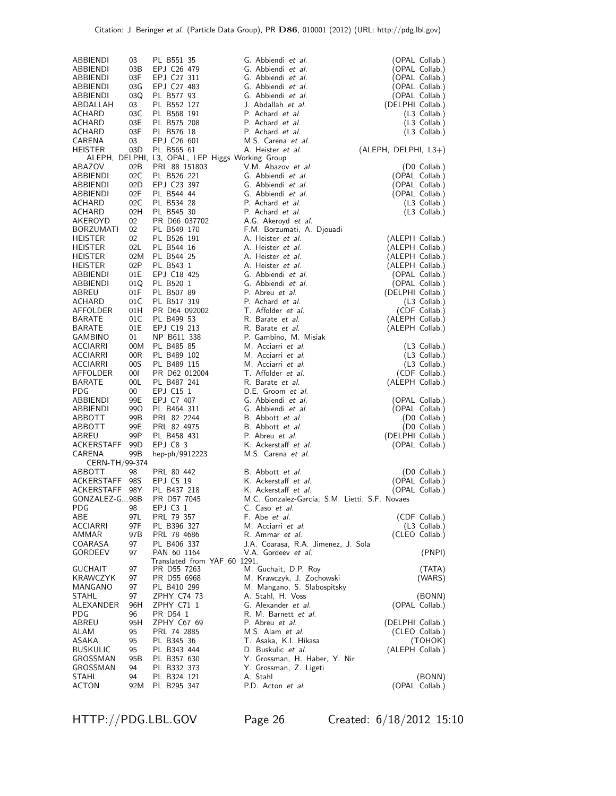| ABBIENDI<br>ABBIENDI        | 03<br>03B                          | PL B551 35<br>EPJ C26 479                                      | G. Abbiendi et al.<br>G. Abbiendi et al.               | (OPAL Collab.)<br>(OPAL Collab.)   |
|-----------------------------|------------------------------------|----------------------------------------------------------------|--------------------------------------------------------|------------------------------------|
| ABBIENDI<br>ABBIENDI        | 03F<br>03G                         | EPJ C27 311<br>EPJ C27 483                                     | G. Abbiendi et al.<br>G. Abbiendi et al.               | (OPAL Collab.)<br>(OPAL Collab.)   |
| ABBIENDI                    | 03Q                                | PL B577 93                                                     | G. Abbiendi et al.                                     | (OPAL Collab.)                     |
| ABDALLAH                    | 03                                 | PL B552 127                                                    | J. Abdallah et al.                                     | (DELPHI Collab.)                   |
| ACHARD<br>ACHARD            | 03C<br>03E                         | PL B568 191<br>PL B575 208                                     | P. Achard et al.<br>P. Achard et al.                   | $(L3$ Collab.)<br>(L3 Collab.)     |
| ACHARD                      | 03F                                | PL B576 18                                                     | P. Achard et al.                                       | $(L3$ Collab.)                     |
| CARENA                      | 03                                 | EPJ C26 601                                                    | M.S. Carena et al.                                     |                                    |
| <b>HEISTER</b>              | 03D                                | PL B565 61<br>ALEPH, DELPHI, L3, OPAL, LEP Higgs Working Group | A. Heister <i>et al.</i>                               | $(ALEPH, DELPHI, L3+)$             |
| ABAZOV                      | 02B                                | PRL 88 151803                                                  | V.M. Abazov et al.                                     | (D0 Collab.)                       |
| ABBIENDI                    | 02C                                | PL B526 221                                                    | G. Abbiendi et al.                                     | (OPAL Collab.)                     |
| ABBIENDI<br>ABBIENDI        | 02D<br>02F                         | EPJ C23 397<br>PL B544 44                                      | G. Abbiendi et al.<br>G. Abbiendi et al.               | (OPAL Collab.)<br>(OPAL Collab.)   |
| <b>ACHARD</b>               | 02C                                | PL B534 28                                                     | P. Achard et al.                                       | (L3 Collab.)                       |
| ACHARD                      | 02H                                | PL B545 30                                                     | P. Achard et al.                                       | $(L3$ Collab.)                     |
| AKEROYD<br><b>BORZUMATI</b> | 02 <sub>2</sub><br>02 <sub>2</sub> | PR D66 037702<br>PL B549 170                                   | A.G. Akeroyd et al.                                    |                                    |
| <b>HEISTER</b>              | 02                                 | PL B526 191                                                    | F.M. Borzumati, A. Djouadi<br>A. Heister <i>et al.</i> | (ALEPH Collab.)                    |
| <b>HEISTER</b>              | 02L                                | PL B544 16                                                     | A. Heister et al.                                      | (ALEPH Collab.)                    |
| <b>HEISTER</b>              | 02M                                | PL B544 25                                                     | A. Heister et al.                                      | (ALEPH Collab.)                    |
| <b>HEISTER</b><br>ABBIENDI  | 02P<br>01E                         | PL B543 1<br>EPJ C18 425                                       | A. Heister et al.<br>G. Abbiendi et al.                | (ALEPH Collab.)<br>(OPAL Collab.)  |
| ABBIENDI                    | 01Q                                | PL B520 1                                                      | G. Abbiendi et al.                                     | (OPAL Collab.)                     |
| ABREU                       | 01F                                | PL B507 89                                                     | P. Abreu et al.                                        | (DELPHI Collab.)                   |
| ACHARD                      | 01C                                | PL B517 319                                                    | P. Achard et al.                                       | $(L3$ Collab.)                     |
| AFFOLDER<br>BARATE          | 01H<br>01C                         | PR D64 092002<br>PL B499 53                                    | T. Affolder et al.<br>R. Barate et al.                 | (CDF Collab.)<br>(ALEPH Collab.)   |
| <b>BARATE</b>               | 01E                                | EPJ C19 213                                                    | R. Barate et al.                                       | (ALEPH Collab.)                    |
| GAMBINO                     | 01                                 | NP B611 338                                                    | P. Gambino, M. Misiak                                  |                                    |
| ACCIARRI                    | 00M                                | PL B485 85                                                     | M. Acciarri et al.                                     | (L3 Collab.)                       |
| ACCIARRI<br><b>ACCIARRI</b> | 00R<br>00S                         | PL B489 102<br>PL B489 115                                     | M. Acciarri et al.<br>M. Acciarri et al.               | (L3 Collab.)<br>(L3 Collab.)       |
| AFFOLDER                    | 001                                | PR D62 012004                                                  | T. Affolder et al.                                     | (CDF Collab.)                      |
| <b>BARATE</b>               | 00 <sub>L</sub>                    | PL B487 241                                                    | R. Barate et al.                                       | (ALEPH Collab.)                    |
| <b>PDG</b>                  | $00\,$<br>99E                      | EPJ C15 1                                                      | D.E. Groom et al.<br>G. Abbiendi et al.                |                                    |
| ABBIENDI<br>ABBIENDI        | 99O                                | EPJ C7 407<br>PL B464 311                                      | G. Abbiendi et al.                                     | (OPAL Collab.)<br>(OPAL Collab.)   |
| ABBOTT                      | 99B                                | PRL 82 2244                                                    | B. Abbott et al.                                       | (D0 Collab.)                       |
| ABBOTT                      | 99E                                | PRL 82 4975                                                    | B. Abbott et al.                                       | (D0 Collab.)                       |
| ABREU<br>ACKERSTAFF         | 99P<br>99D                         | PL B458 431<br>EPJ C83                                         | P. Abreu et al.<br>K. Ackerstaff et al.                | (DELPHI Collab.)<br>(OPAL Collab.) |
| CARENA                      | 99B                                | hep-ph/9912223                                                 | M.S. Carena et al.                                     |                                    |
| CERN-TH/99-374              |                                    |                                                                |                                                        |                                    |
| ABBOTT                      | 98                                 | PRL 80 442                                                     | B. Abbott et al.                                       | (D0 Collab.)                       |
| ACKERSTAFF<br>ACKERSTAFF    | 98S<br>98Y                         | EPJ C5 19<br>PL B437 218                                       | K. Ackerstaff et al.<br>K. Ackerstaff et al.           | (OPAL Collab.)<br>(OPAL Collab.)   |
| GONZALEZ-G98B               |                                    | PR D57 7045                                                    | M.C. Gonzalez-Garcia, S.M. Lietti, S.F. Novaes         |                                    |
| PDG                         | 98                                 | EPJ C3 1                                                       | C. Caso et al.                                         |                                    |
| ABE<br>ACCIARRI             | 97L<br>97F                         | PRL 79 357<br>PL B396 327                                      | F. Abe <i>et al.</i><br>M. Acciarri et al.             | (CDF Collab.)                      |
| AMMAR                       | 97B                                | PRL 78 4686                                                    | R. Ammar et al.                                        | (L3 Collab.)<br>(CLEO Collab.)     |
| COARASA                     | 97                                 | PL B406 337                                                    | J.A. Coarasa, R.A. Jimenez, J. Sola                    |                                    |
| GORDEEV                     | 97                                 | PAN 60 1164                                                    | V.A. Gordeev et al.                                    | (PNPI)                             |
| <b>GUCHAIT</b>              | 97                                 | Translated from YAF 60 1291.<br>PR D55 7263                    | M. Guchait, D.P. Roy                                   | (TATA)                             |
| KRAWCZYK                    | 97                                 | PR D55 6968                                                    | M. Krawczyk, J. Zochowski                              | (WARS)                             |
| MANGANO                     | 97                                 | PL B410 299                                                    | M. Mangano, S. Slabospitsky                            |                                    |
| STAHL<br>ALEXANDER          | 97<br>96H                          | ZPHY C74 73<br>ZPHY C71 1                                      | A. Stahl, H. Voss<br>G. Alexander et al.               | (BONN)<br>(OPAL Collab.)           |
| <b>PDG</b>                  | 96                                 | PR D54 1                                                       | R. M. Barnett et al.                                   |                                    |
| ABREU                       | 95H                                | ZPHY C67 69                                                    | P. Abreu et al.                                        | (DELPHI Collab.)                   |
| ALAM                        | 95                                 | PRL 74 2885                                                    | M.S. Alam et al.                                       | (CLEO Collab.)                     |
| ASAKA<br><b>BUSKULIC</b>    | 95<br>95                           | PL B345 36<br>PL B343 444                                      | T. Asaka, K.I. Hikasa<br>D. Buskulic et al.            | (TOHOK)<br>(ALEPH Collab.)         |
| GROSSMAN                    | 95B                                | PL B357 630                                                    | Y. Grossman, H. Haber, Y. Nir                          |                                    |
| GROSSMAN                    | 94                                 | PL B332 373                                                    | Y. Grossman, Z. Ligeti                                 |                                    |
| STAHL<br>ACTON              | 94<br>92M                          | PL B324 121<br>PL B295 347                                     | A. Stahl<br>P.D. Acton et al.                          | (BONN)<br>(OPAL Collab.)           |
|                             |                                    |                                                                |                                                        |                                    |

HTTP://PDG.LBL.GOV Page 26 Created: 6/18/2012 15:10